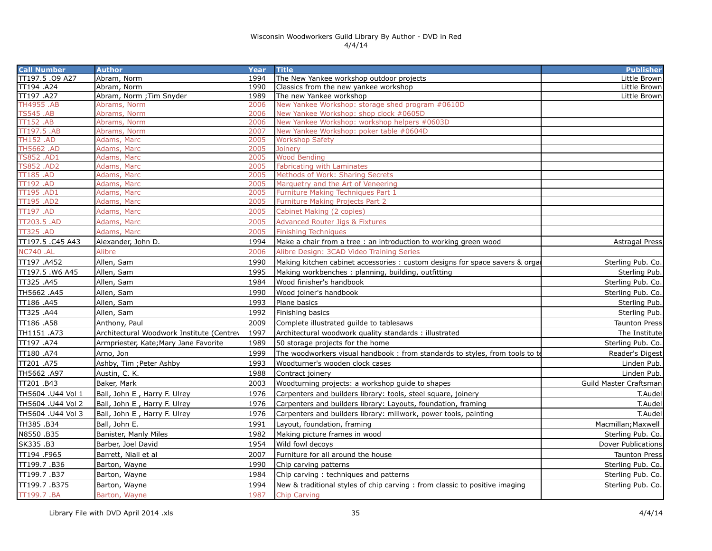| <b>Call Number</b>                   | <b>Author</b>                             | Year         | <b>Title</b>                                                                | <b>Publisher</b>       |
|--------------------------------------|-------------------------------------------|--------------|-----------------------------------------------------------------------------|------------------------|
| TT197.5 .09 A27                      | Abram, Norm                               | 1994         | The New Yankee workshop outdoor projects                                    | Little Brown           |
| TT194 .A24                           | Abram, Norm                               | 1990         | Classics from the new yankee workshop                                       | Little Brown           |
| TT197 .A27                           | Abram, Norm ; Tim Snyder                  | 1989         | The new Yankee workshop                                                     | Little Brown           |
| <b>TH4955.AB</b>                     | Abrams, Norm                              | 2006         | New Yankee Workshop: storage shed program #0610D                            |                        |
| <b>TS545 .AB</b>                     | Abrams, Norm                              | 2006         | New Yankee Workshop: shop clock #0605D                                      |                        |
| TT152 .AB                            | Abrams, Norm                              | 2006         | New Yankee Workshop: workshop helpers #0603D                                |                        |
| TT197.5 .AB                          | Abrams, Norm                              | 2007         | New Yankee Workshop: poker table #0604D                                     |                        |
| <b>TH152 .AD</b><br><b>TH5662.AD</b> | Adams, Marc                               | 2005<br>2005 | <b>Workshop Safety</b>                                                      |                        |
| <b>TS852.AD1</b>                     | Adams, Marc<br>Adams, Marc                | 2005         | Joinery<br><b>Wood Bending</b>                                              |                        |
| <b>TS852 .AD2</b>                    | Adams, Marc                               | 2005         | Fabricating with Laminates                                                  |                        |
| <b>TT185.AD</b>                      | Adams, Marc                               | 2005         | Methods of Work: Sharing Secrets                                            |                        |
| <b>TT192.AD</b>                      | Adams, Marc                               | 2005         | Marquetry and the Art of Veneering                                          |                        |
| TT195 .AD1                           | Adams, Marc                               | 2005         | Furniture Making Techniques Part 1                                          |                        |
| TT195 .AD2                           | Adams, Marc                               | 2005         | Furniture Making Projects Part 2                                            |                        |
| <b>TT197 .AD</b>                     | Adams, Marc                               | 2005         | Cabinet Making (2 copies)                                                   |                        |
| TT203.5 .AD                          | Adams, Marc                               | 2005         | <b>Advanced Router Jigs &amp; Fixtures</b>                                  |                        |
| <b>TT325 .AD</b>                     | Adams, Marc                               | 2005         | <b>Finishing Techniques</b>                                                 |                        |
| TT197.5 .C45 A43                     | Alexander, John D.                        | 1994         | Make a chair from a tree : an introduction to working green wood            | <b>Astragal Press</b>  |
| <b>NC740 .AL</b>                     | Alibre                                    | 2006         | Alibre Design: 3CAD Video Training Series                                   |                        |
| TT197 .A452                          | Allen, Sam                                | 1990         | Making kitchen cabinet accessories : custom designs for space savers & orga | Sterling Pub. Co.      |
| TT197.5 .W6 A45                      | Allen, Sam                                | 1995         | Making workbenches: planning, building, outfitting                          | Sterling Pub.          |
| TT325.A45                            | Allen, Sam                                | 1984         | Wood finisher's handbook                                                    | Sterling Pub. Co.      |
| TH5662.A45                           | Allen, Sam                                | 1990         | Wood joiner's handbook                                                      | Sterling Pub. Co.      |
| TT186 .A45                           | Allen, Sam                                | 1993         | Plane basics                                                                | Sterling Pub.          |
| TT325.A44                            | Allen, Sam                                | 1992         | Finishing basics                                                            | Sterling Pub.          |
| TT186 .A58                           | Anthony, Paul                             | 2009         | Complete illustrated guilde to tablesaws                                    | Taunton Press          |
| TH1151 .A73                          | Architectural Woodwork Institute (Centrey | 1997         | Architectural woodwork quality standards: illustrated                       | The Institute          |
| TT197 .A74                           | Armpriester, Kate; Mary Jane Favorite     | 1989         | 50 storage projects for the home                                            | Sterling Pub. Co.      |
| TT180 .A74                           | Arno, Jon                                 | 1999         | The woodworkers visual handbook: from standards to styles, from tools to to | Reader's Digest        |
| TT201 .A75                           | Ashby, Tim ; Peter Ashby                  | 1993         | Woodturner's wooden clock cases                                             | Linden Pub.            |
| TH5662.A97                           | Austin, C. K.                             | 1988         | Contract joinery                                                            | Linden Pub.            |
| TT201 .B43                           | Baker, Mark                               | 2003         | Woodturning projects: a workshop guide to shapes                            | Guild Master Craftsman |
| TH5604 .U44 Vol 1                    | Ball, John E, Harry F. Ulrey              | 1976         | Carpenters and builders library: tools, steel square, joinery               | T.Audel                |
| TH5604 .U44 Vol 2                    | Ball, John E, Harry F. Ulrey              | 1976         | Carpenters and builders library: Layouts, foundation, framing               | T.Audel                |
| TH5604 .U44 Vol 3                    | Ball, John E, Harry F. Ulrey              | 1976         | Carpenters and builders library: millwork, power tools, painting            | T.Audel                |
| TH385 .B34                           | Ball, John E.                             | 1991         | Layout, foundation, framing                                                 | Macmillan; Maxwell     |
| N8550.B35                            | Banister, Manly Miles                     | 1982         | Making picture frames in wood                                               | Sterling Pub. Co.      |
| SK335.B3                             | Barber, Joel David                        | 1954         | Wild fowl decoys                                                            | Dover Publications     |
|                                      |                                           |              |                                                                             |                        |
| TT194 .F965                          | Barrett, Niall et al                      | 2007         | Furniture for all around the house                                          | <b>Taunton Press</b>   |
| TT199.7.B36                          | Barton, Wayne                             | 1990         | Chip carving patterns                                                       | Sterling Pub. Co.      |
| TT199.7.B37                          | Barton, Wayne                             | 1984         | Chip carving: techniques and patterns                                       | Sterling Pub. Co.      |
| TT199.7.B375                         | Barton, Wayne                             | 1994         | New & traditional styles of chip carving : from classic to positive imaging | Sterling Pub. Co.      |
| TT199.7.BA                           | Barton, Wayne                             | 1987         | <b>Chip Carving</b>                                                         |                        |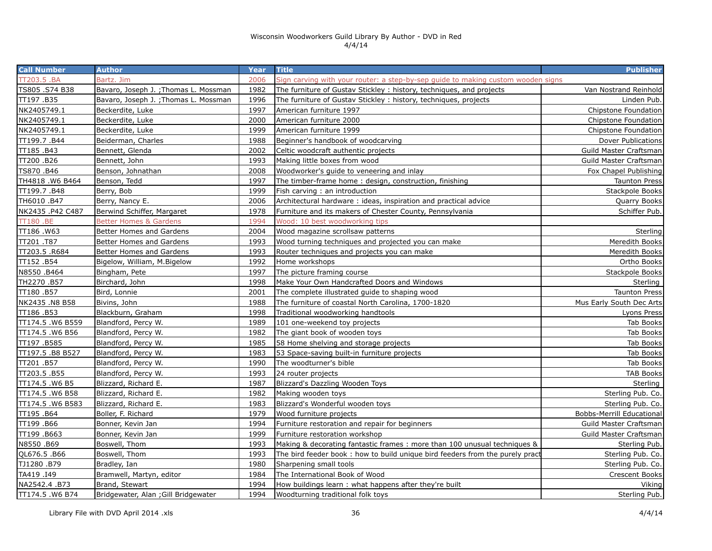| <b>Call Number</b> | <b>Author</b>                         | Year | <b>Title</b>                                                                     | <b>Publisher</b>          |
|--------------------|---------------------------------------|------|----------------------------------------------------------------------------------|---------------------------|
| TT203.5.BA         | Bartz, Jim                            | 2006 | Sign carving with your router: a step-by-sep guide to making custom wooden signs |                           |
| TS805 .S74 B38     | Bavaro, Joseph J. ; Thomas L. Mossman | 1982 | The furniture of Gustav Stickley: history, techniques, and projects              | Van Nostrand Reinhold     |
| TT197.B35          | Bavaro, Joseph J. ; Thomas L. Mossman | 1996 | The furniture of Gustav Stickley: history, techniques, projects                  | Linden Pub.               |
| NK2405749.1        | Beckerdite, Luke                      | 1997 | American furniture 1997                                                          | Chipstone Foundation      |
| NK2405749.1        | Beckerdite, Luke                      | 2000 | American furniture 2000                                                          | Chipstone Foundation      |
| NK2405749.1        | Beckerdite, Luke                      | 1999 | American furniture 1999                                                          | Chipstone Foundation      |
| TT199.7.B44        | Beiderman, Charles                    | 1988 | Beginner's handbook of woodcarving                                               | Dover Publications        |
| TT185.B43          | Bennett, Glenda                       | 2002 | Celtic woodcraft authentic projects                                              | Guild Master Craftsman    |
| TT200.B26          | Bennett, John                         | 1993 | Making little boxes from wood                                                    | Guild Master Craftsman    |
| TS870.B46          | Benson, Johnathan                     | 2008 | Woodworker's guide to veneering and inlay                                        | Fox Chapel Publishing     |
| TH4818.W6 B464     | Benson, Tedd                          | 1997 | The timber-frame home: design, construction, finishing                           | <b>Taunton Press</b>      |
| TT199.7.B48        | Berry, Bob                            | 1999 | Fish carving: an introduction                                                    | Stackpole Books           |
| TH6010.B47         | Berry, Nancy E.                       | 2006 | Architectural hardware: ideas, inspiration and practical advice                  | Quarry Books              |
| NK2435 .P42 C487   | Berwind Schiffer, Margaret            | 1978 | Furniture and its makers of Chester County, Pennsylvania                         | Schiffer Pub.             |
| TT180 .BE          | <b>Better Homes &amp; Gardens</b>     | 1994 | Wood: 10 best woodworking tips                                                   |                           |
| TT186.W63          | Better Homes and Gardens              | 2004 | Wood magazine scrollsaw patterns                                                 | Sterling                  |
| TT201 .T87         | Better Homes and Gardens              | 1993 | Wood turning techniques and projected you can make                               | Meredith Books            |
| TT203.5 .R684      | Better Homes and Gardens              | 1993 | Router techniques and projects you can make                                      | Meredith Books            |
| TT152.B54          | Bigelow, William, M.Bigelow           | 1992 | Home workshops                                                                   | Ortho Books               |
| N8550.B464         | Bingham, Pete                         | 1997 | The picture framing course                                                       | Stackpole Books           |
| TH2270.B57         | Birchard, John                        | 1998 | Make Your Own Handcrafted Doors and Windows                                      | Sterling                  |
| TT180.B57          | Bird, Lonnie                          | 2001 | The complete illustrated guide to shaping wood                                   | <b>Taunton Press</b>      |
| NK2435 .N8 B58     | Bivins, John                          | 1988 | The furniture of coastal North Carolina, 1700-1820                               | Mus Early South Dec Arts  |
| TT186.B53          | Blackburn, Graham                     | 1998 | Traditional woodworking handtools                                                | Lyons Press               |
| TT174.5.W6 B559    | Blandford, Percy W.                   | 1989 | 101 one-weekend toy projects                                                     | Tab Books                 |
| TT174.5.W6 B56     | Blandford, Percy W.                   | 1982 | The giant book of wooden toys                                                    | Tab Books                 |
| TT197 .B585        | Blandford, Percy W.                   | 1985 | 58 Home shelving and storage projects                                            | Tab Books                 |
| TT197.5 .B8 B527   | Blandford, Percy W.                   | 1983 | 53 Space-saving built-in furniture projects                                      | Tab Books                 |
| TT201.B57          | Blandford, Percy W.                   | 1990 | The woodturner's bible                                                           | Tab Books                 |
| TT203.5.B55        | Blandford, Percy W.                   | 1993 | 24 router projects                                                               | <b>TAB Books</b>          |
| TT174.5.W6 B5      | Blizzard, Richard E.                  | 1987 | Blizzard's Dazzling Wooden Toys                                                  | Sterling                  |
| TT174.5 .W6 B58    | Blizzard, Richard E.                  | 1982 | Making wooden toys                                                               | Sterling Pub. Co.         |
| TT174.5 .W6 B583   | Blizzard, Richard E.                  | 1983 | Blizzard's Wonderful wooden toys                                                 | Sterling Pub. Co.         |
| TT195.B64          | Boller, F. Richard                    | 1979 | Wood furniture projects                                                          | Bobbs-Merrill Educational |
| TT199.B66          | Bonner, Kevin Jan                     | 1994 | Furniture restoration and repair for beginners                                   | Guild Master Craftsman    |
| TT199 .B663        | Bonner, Kevin Jan                     | 1999 | Furniture restoration workshop                                                   | Guild Master Craftsman    |
| N8550.B69          | Boswell, Thom                         | 1993 | Making & decorating fantastic frames: more than 100 unusual techniques &         | Sterling Pub.             |
| QL676.5 .B66       | Boswell, Thom                         | 1993 | The bird feeder book: how to build unique bird feeders from the purely pract     | Sterling Pub. Co.         |
| TJ1280.B79         | Bradley, Ian                          | 1980 | Sharpening small tools                                                           | Sterling Pub. Co.         |
| TA419 .I49         | Bramwell, Martyn, editor              | 1984 | The International Book of Wood                                                   | Crescent Books            |
| NA2542.4 .B73      | Brand, Stewart                        | 1994 | How buildings learn: what happens after they're built                            | Viking                    |
| TT174.5 .W6 B74    | Bridgewater, Alan ; Gill Bridgewater  | 1994 | Woodturning traditional folk toys                                                | Sterling Pub.             |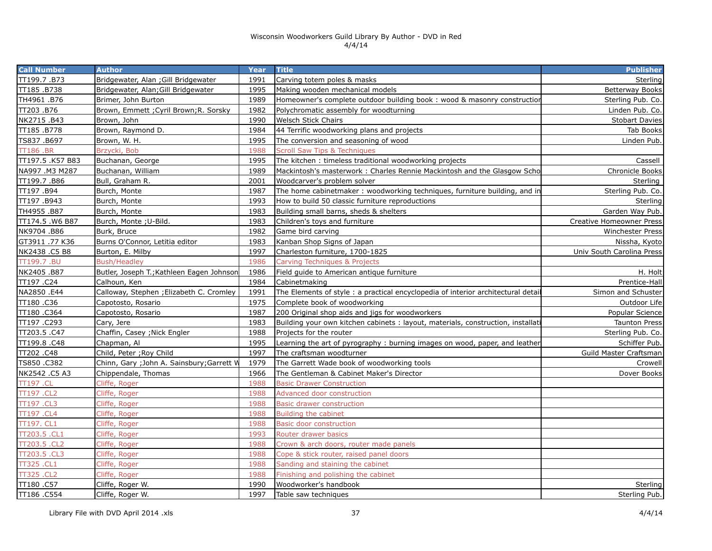| <b>Call Number</b> | <b>Author</b>                              | <b>Year</b> | <b>Title</b>                                                                     | <b>Publisher</b>          |
|--------------------|--------------------------------------------|-------------|----------------------------------------------------------------------------------|---------------------------|
| TT199.7.B73        | Bridgewater, Alan ; Gill Bridgewater       | 1991        | Carving totem poles & masks                                                      | Sterling                  |
| TT185.B738         | Bridgewater, Alan; Gill Bridgewater        | 1995        | Making wooden mechanical models                                                  | <b>Betterway Books</b>    |
| TH4961.B76         | Brimer, John Burton                        | 1989        | Homeowner's complete outdoor building book: wood & masonry constructior          | Sterling Pub. Co.         |
| TT203.B76          | Brown, Emmett ; Cyril Brown; R. Sorsky     | 1982        | Polychromatic assembly for woodturning                                           | Linden Pub. Co.           |
| NK2715 .B43        | Brown, John                                | 1990        | Welsch Stick Chairs                                                              | <b>Stobart Davies</b>     |
| TT185.B778         | Brown, Raymond D.                          | 1984        | 44 Terrific woodworking plans and projects                                       | Tab Books                 |
| TS837 .B697        | Brown, W. H.                               | 1995        | The conversion and seasoning of wood                                             | Linden Pub.               |
| <b>TT186.BR</b>    | Brzycki, Bob                               | 1988        | <b>Scroll Saw Tips &amp; Techniques</b>                                          |                           |
| TT197.5 .K57 B83   | Buchanan, George                           | 1995        | The kitchen: timeless traditional woodworking projects                           | Cassell                   |
| NA997 .M3 M287     | Buchanan, William                          | 1989        | Mackintosh's masterwork: Charles Rennie Mackintosh and the Glasgow Scho          | Chronicle Books           |
| TT199.7.B86        | Bull, Graham R.                            | 2001        | Woodcarver's problem solver                                                      | Sterling                  |
| TT197.B94          | Burch, Monte                               | 1987        | The home cabinetmaker: woodworking techniques, furniture building, and in        | Sterling Pub. Co.         |
| TT197.B943         | Burch, Monte                               | 1993        | How to build 50 classic furniture reproductions                                  | Sterling                  |
| TH4955.B87         | Burch, Monte                               | 1983        | Building small barns, sheds & shelters                                           | Garden Way Pub.           |
| TT174.5 .W6 B87    | Burch, Monte ; U-Bild.                     | 1983        | Children's toys and furniture                                                    | Creative Homeowner Press  |
| NK9704 .B86        | Burk, Bruce                                | 1982        | Game bird carving                                                                | <b>Winchester Press</b>   |
| GT3911 .77 K36     | Burns O'Connor, Letitia editor             | 1983        | Kanban Shop Signs of Japan                                                       | Nissha, Kyoto             |
| NK2438 .C5 B8      | Burton, E. Milby                           | 1997        | Charleston furniture, 1700-1825                                                  | Univ South Carolina Press |
| TT199.7.BU         | <b>Bush/Headley</b>                        | 1986        | Carving Techniques & Projects                                                    |                           |
| NK2405.B87         | Butler, Joseph T.; Kathleen Eagen Johnson  | 1986        | Field guide to American antique furniture                                        | H. Holt                   |
| TT197.C24          | Calhoun, Ken                               | 1984        | Cabinetmaking                                                                    | Prentice-Hall             |
| NA2850 .E44        | Calloway, Stephen ; Elizabeth C. Cromley   | 1991        | The Elements of style: a practical encyclopedia of interior architectural detail | Simon and Schuster        |
| TT180.C36          | Capotosto, Rosario                         | 1975        | Complete book of woodworking                                                     | Outdoor Life              |
| TT180 .C364        | Capotosto, Rosario                         | 1987        | 200 Original shop aids and jigs for woodworkers                                  | Popular Science           |
| TT197.C293         | Cary, Jere                                 | 1983        | Building your own kitchen cabinets: layout, materials, construction, installati  | <b>Taunton Press</b>      |
| TT203.5.C47        | Chaffin, Casey; Nick Engler                | 1988        | Projects for the router                                                          | Sterling Pub. Co.         |
| TT199.8.C48        | Chapman, Al                                | 1995        | Learning the art of pyrography : burning images on wood, paper, and leather      | Schiffer Pub.             |
| TT202 .C48         | Child, Peter ; Roy Child                   | 1997        | The craftsman woodturner                                                         | Guild Master Craftsman    |
| TS850.C382         | Chinn, Gary ; John A. Sainsbury; Garrett W | 1979        | The Garrett Wade book of woodworking tools                                       | Crowell                   |
| NK2542 .C5 A3      | Chippendale, Thomas                        | 1966        | The Gentleman & Cabinet Maker's Director                                         | Dover Books               |
| <b>TT197 .CL</b>   | Cliffe, Roger                              | 1988        | <b>Basic Drawer Construction</b>                                                 |                           |
| TT197 .CL2         | Cliffe, Roger                              | 1988        | Advanced door construction                                                       |                           |
| TT197 .CL3         | Cliffe, Roger                              | 1988        | <b>Basic drawer construction</b>                                                 |                           |
| TT197 .CL4         | Cliffe, Roger                              | 1988        | <b>Building the cabinet</b>                                                      |                           |
| TT197. CL1         | Cliffe, Roger                              | 1988        | <b>Basic door construction</b>                                                   |                           |
| TT203.5 .CL1       | Cliffe, Roger                              | 1993        | Router drawer basics                                                             |                           |
| TT203.5.CL2        | Cliffe, Roger                              | 1988        | Crown & arch doors, router made panels                                           |                           |
| TT203.5 .CL3       | Cliffe, Roger                              | 1988        | Cope & stick router, raised panel doors                                          |                           |
| <b>TT325.CL1</b>   | Cliffe, Roger                              | 1988        | Sanding and staining the cabinet                                                 |                           |
| <b>TT325.CL2</b>   | Cliffe, Roger                              | 1988        | Finishing and polishing the cabinet                                              |                           |
| TT180.C57          | Cliffe, Roger W.                           | 1990        | Woodworker's handbook                                                            | Sterling                  |
| TT186 .C554        | Cliffe, Roger W.                           | 1997        | Table saw techniques                                                             | Sterling Pub.             |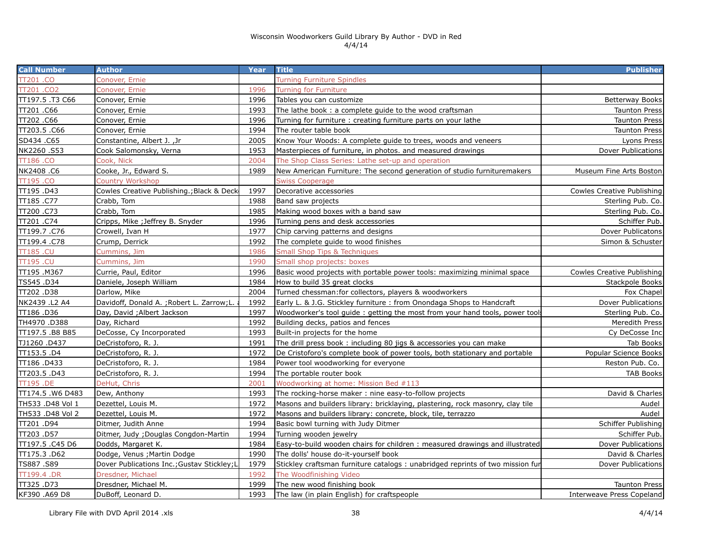| <b>Call Number</b> | <b>Author</b>                               | Year | <b>Title</b>                                                                  | <b>Publisher</b>                  |
|--------------------|---------------------------------------------|------|-------------------------------------------------------------------------------|-----------------------------------|
| TT201 .CO          | Conover, Ernie                              |      | <b>Turning Furniture Spindles</b>                                             |                                   |
| TT201.CO2          | Conover, Ernie                              | 1996 | <b>Turning for Furniture</b>                                                  |                                   |
| TT197.5.T3 C66     | Conover, Ernie                              | 1996 | Tables you can customize                                                      | Betterway Books                   |
| TT201 .C66         | Conover, Ernie                              | 1993 | The lathe book: a complete quide to the wood craftsman                        | <b>Taunton Press</b>              |
| TT202.C66          | Conover, Ernie                              | 1996 | Turning for furniture : creating furniture parts on your lathe                | <b>Taunton Press</b>              |
| TT203.5 .C66       | Conover, Ernie                              | 1994 | The router table book                                                         | <b>Taunton Press</b>              |
| SD434.C65          | Constantine, Albert J., Jr                  | 2005 | Know Your Woods: A complete guide to trees, woods and veneers                 | Lyons Press                       |
| NK2260.S53         | Cook Salomonsky, Verna                      | 1953 | Masterpieces of furniture, in photos. and measured drawings                   | <b>Dover Publications</b>         |
| TT186.CO           | Cook, Nick                                  | 2004 | The Shop Class Series: Lathe set-up and operation                             |                                   |
| NK2408.C6          | Cooke, Jr., Edward S.                       | 1989 | New American Furniture: The second generation of studio furnituremakers       | Museum Fine Arts Boston           |
| TT195.CO           | <b>Country Workshop</b>                     |      | <b>Swiss Cooperage</b>                                                        |                                   |
| TT195.D43          | Cowles Creative Publishing.; Black & Deck   | 1997 | Decorative accessories                                                        | <b>Cowles Creative Publishing</b> |
| TT185.C77          | Crabb, Tom                                  | 1988 | Band saw projects                                                             | Sterling Pub. Co.                 |
| TT200 .C73         | Crabb, Tom                                  | 1985 | Making wood boxes with a band saw                                             | Sterling Pub. Co.                 |
| TT201 .C74         | Cripps, Mike ; Jeffrey B. Snyder            | 1996 | Turning pens and desk accessories                                             | Schiffer Pub.                     |
| TT199.7.C76        | Crowell, Ivan H                             | 1977 | Chip carving patterns and designs                                             | Dover Publicatons                 |
| TT199.4 .C78       | Crump, Derrick                              | 1992 | The complete guide to wood finishes                                           | Simon & Schuster                  |
| <b>TT185.CU</b>    | Cummins, Jim                                | 1986 | <b>Small Shop Tips &amp; Techniques</b>                                       |                                   |
| TT195.CU           | Cummins, Jim                                | 1990 | Small shop projects: boxes                                                    |                                   |
| TT195.M367         | Currie, Paul, Editor                        | 1996 | Basic wood projects with portable power tools: maximizing minimal space       | <b>Cowles Creative Publishing</b> |
| TS545.D34          | Daniele, Joseph William                     | 1984 | How to build 35 great clocks                                                  | Stackpole Books                   |
| TT202.D38          | Darlow, Mike                                | 2004 | Turned chessman: for collectors, players & woodworkers                        | Fox Chapel                        |
| NK2439 .L2 A4      | Davidoff, Donald A. ; Robert L. Zarrow; L.  | 1992 | Early L. & J.G. Stickley furniture: from Onondaga Shops to Handcraft          | Dover Publications                |
| TT186.D36          | Day, David ; Albert Jackson                 | 1997 | Woodworker's tool guide: getting the most from your hand tools, power tool    | Sterling Pub. Co.                 |
| TH4970.D388        | Day, Richard                                | 1992 | Building decks, patios and fences                                             | Meredith Press                    |
| TT197.5.B8 B85     | DeCosse, Cy Incorporated                    | 1993 | Built-in projects for the home                                                | Cy DeCosse Inc                    |
| TJ1260 .D437       | DeCristoforo, R. J.                         | 1991 | The drill press book: including 80 jigs & accessories you can make            | Tab Books                         |
| TT153.5 .D4        | DeCristoforo, R. J.                         | 1972 | De Cristoforo's complete book of power tools, both stationary and portable    | Popular Science Books             |
| TT186.D433         | DeCristoforo, R. J.                         | 1984 | Power tool woodworking for everyone                                           | Reston Pub. Co.                   |
| TT203.5 .D43       | DeCristoforo, R. J.                         | 1994 | The portable router book                                                      | <b>TAB Books</b>                  |
| <b>TT195.DE</b>    | DeHut, Chris                                | 2001 | Woodworking at home: Mission Bed #113                                         |                                   |
| TT174.5 .W6 D483   | Dew, Anthony                                | 1993 | The rocking-horse maker: nine easy-to-follow projects                         | David & Charles                   |
| TH533 .D48 Vol 1   | Dezettel, Louis M.                          | 1972 | Masons and builders library: bricklaying, plastering, rock masonry, clay tile | Audel                             |
| TH533 .D48 Vol 2   | Dezettel, Louis M.                          | 1972 | Masons and builders library: concrete, block, tile, terrazzo                  | Audel                             |
| TT201.D94          | Ditmer, Judith Anne                         | 1994 | Basic bowl turning with Judy Ditmer                                           | Schiffer Publishing               |
| TT203.D57          | Ditmer, Judy ; Douglas Congdon-Martin       | 1994 | Turning wooden jewelry                                                        | Schiffer Pub.                     |
| TT197.5 .C45 D6    | Dodds, Margaret K.                          | 1984 | Easy-to-build wooden chairs for children: measured drawings and illustrated   | Dover Publications                |
| TT175.3.D62        | Dodge, Venus ; Martin Dodge                 | 1990 | The dolls' house do-it-yourself book                                          | David & Charles                   |
| TS887.S89          | Dover Publications Inc.; Gustav Stickley; L | 1979 | Stickley craftsman furniture catalogs: unabridged reprints of two mission fur | Dover Publications                |
| TT199.4 .DR        | Dresdner, Michael                           | 1992 | The Woodfinishing Video                                                       |                                   |
| TT325.D73          | Dresdner, Michael M.                        | 1999 | The new wood finishing book                                                   | <b>Taunton Press</b>              |
| KF390, A69 D8      | DuBoff, Leonard D.                          | 1993 | The law (in plain English) for craftspeople                                   | Interweave Press Copeland         |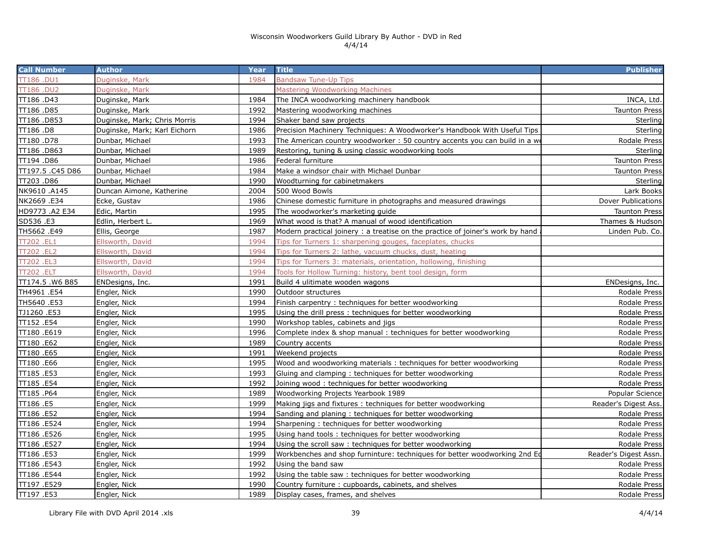| <b>Call Number</b> | <b>Author</b>                | <b>Year</b> | <b>Title</b>                                                                  | <b>Publisher</b>          |
|--------------------|------------------------------|-------------|-------------------------------------------------------------------------------|---------------------------|
| TT186.DU1          | Duginske, Mark               | 1984        | <b>Bandsaw Tune-Up Tips</b>                                                   |                           |
| TT186.DU2          | Duginske, Mark               |             | <b>Mastering Woodworking Machines</b>                                         |                           |
| TT186 .D43         | Duginske, Mark               | 1984        | The INCA woodworking machinery handbook                                       | INCA, Ltd.                |
| TT186.D85          | Duginske, Mark               | 1992        | Mastering woodworking machines                                                | <b>Taunton Press</b>      |
| TT186.D853         | Duginske, Mark; Chris Morris | 1994        | Shaker band saw projects                                                      | Sterling                  |
| TT186 .D8          | Duginske, Mark; Karl Eichorn | 1986        | Precision Machinery Techniques: A Woodworker's Handbook With Useful Tips      | Sterling                  |
| TT180.D78          | Dunbar, Michael              | 1993        | The American country woodworker: 50 country accents you can build in a we     | Rodale Press              |
| TT186.D863         | Dunbar, Michael              | 1989        | Restoring, tuning & using classic woodworking tools                           | Sterling                  |
| TT194 .D86         | Dunbar, Michael              | 1986        | Federal furniture                                                             | <b>Taunton Press</b>      |
| TT197.5 .C45 D86   | Dunbar, Michael              | 1984        | Make a windsor chair with Michael Dunbar                                      | <b>Taunton Press</b>      |
| TT203 .D86         | Dunbar, Michael              | 1990        | Woodturning for cabinetmakers                                                 | Sterling                  |
| NK9610 .A145       | Duncan Aimone, Katherine     | 2004        | 500 Wood Bowls                                                                | Lark Books                |
| NK2669 .E34        | Ecke, Gustav                 | 1986        | Chinese domestic furniture in photographs and measured drawings               | <b>Dover Publications</b> |
| HD9773 .A2 E34     | Edic, Martin                 | 1995        | The woodworker's marketing guide                                              | <b>Taunton Press</b>      |
| SD536 .E3          | Edlin, Herbert L.            | 1969        | What wood is that? A manual of wood identification                            | Thames & Hudson           |
| TH5662.E49         | Ellis, George                | 1987        | Modern practical joinery: a treatise on the practice of joiner's work by hand | Linden Pub. Co.           |
| TT202 .EL1         | Ellsworth, David             | 1994        | Tips for Turners 1: sharpening gouges, faceplates, chucks                     |                           |
| TT202.EL2          | Ellsworth, David             | 1994        | Tips for Turners 2: lathe, vacuum chucks, dust, heating                       |                           |
| TT202 .EL3         | Ellsworth, David             | 1994        | Tips for Turners 3: materials, orientation, hollowing, finishing              |                           |
| <b>TT202 .ELT</b>  | Ellsworth, David             | 1994        | Tools for Hollow Turning: history, bent tool design, form                     |                           |
| TT174.5 .W6 B85    | ENDesigns, Inc.              | 1991        | Build 4 ulitimate wooden wagons                                               | ENDesigns, Inc.           |
| TH4961 .E54        | Engler, Nick                 | 1990        | Outdoor structures                                                            | Rodale Press              |
| TH5640 .E53        | Engler, Nick                 | 1994        | Finish carpentry: techniques for better woodworking                           | <b>Rodale Press</b>       |
| TJ1260.E53         | Engler, Nick                 | 1995        | Using the drill press: techniques for better woodworking                      | Rodale Press              |
| TT152.E54          | Engler, Nick                 | 1990        | Workshop tables, cabinets and jigs                                            | Rodale Press              |
| TT180 .E619        | Engler, Nick                 | 1996        | Complete index & shop manual: techniques for better woodworking               | Rodale Press              |
| TT180 .E62         | Engler, Nick                 | 1989        | Country accents                                                               | Rodale Press              |
| TT180.E65          | Engler, Nick                 | 1991        | Weekend projects                                                              | Rodale Press              |
| TT180 .E66         | Engler, Nick                 | 1995        | Wood and woodworking materials: techniques for better woodworking             | <b>Rodale Press</b>       |
| TT185.E53          | Engler, Nick                 | 1993        | Gluing and clamping: techniques for better woodworking                        | Rodale Press              |
| TT185.E54          | Engler, Nick                 | 1992        | Joining wood: techniques for better woodworking                               | <b>Rodale Press</b>       |
| TT185.P64          | Engler, Nick                 | 1989        | Woodworking Projects Yearbook 1989                                            | Popular Science           |
| TT186 .E5          | Engler, Nick                 | 1999        | Making jigs and fixtures: techniques for better woodworking                   | Reader's Digest Ass.      |
| TT186 .E52         | Engler, Nick                 | 1994        | Sanding and planing: techniques for better woodworking                        | Rodale Press              |
| TT186 .E524        | Engler, Nick                 | 1994        | Sharpening: techniques for better woodworking                                 | Rodale Press              |
| TT186 .E526        | Engler, Nick                 | 1995        | Using hand tools: techniques for better woodworking                           | Rodale Press              |
| TT186.E527         | Engler, Nick                 | 1994        | Using the scroll saw: techniques for better woodworking                       | Rodale Press              |
| TT186 .E53         | Engler, Nick                 | 1999        | Workbenches and shop furninture: techniques for better woodworking 2nd Ed     | Reader's Digest Assn.     |
| TT186 .E543        | Engler, Nick                 | 1992        | Using the band saw                                                            | <b>Rodale Press</b>       |
| TT186 .E544        | Engler, Nick                 | 1992        | Using the table saw: techniques for better woodworking                        | Rodale Press              |
| TT197 .E529        | Engler, Nick                 | 1990        | Country furniture: cupboards, cabinets, and shelves                           | <b>Rodale Press</b>       |
| TT197.E53          | Engler, Nick                 | 1989        | Display cases, frames, and shelves                                            | Rodale Press              |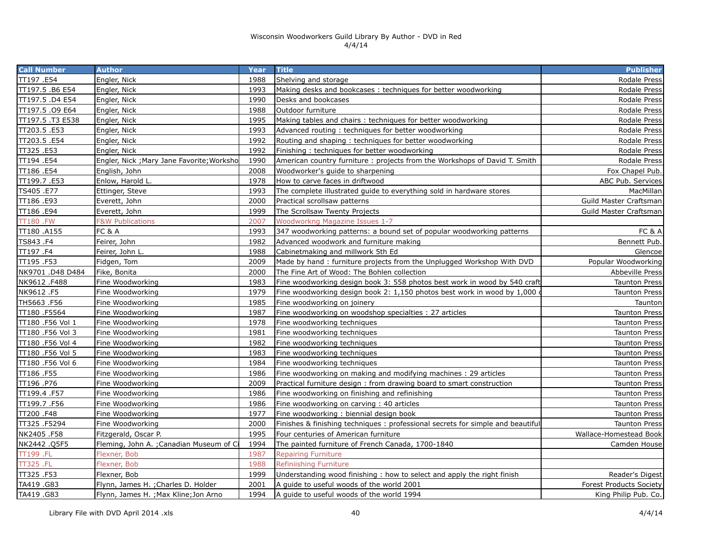| <b>Call Number</b> | <b>Author</b>                              | Year | <b>Title</b>                                                                   | <b>Publisher</b>               |
|--------------------|--------------------------------------------|------|--------------------------------------------------------------------------------|--------------------------------|
| TT197.E54          | Engler, Nick                               | 1988 | Shelving and storage                                                           | Rodale Press                   |
| TT197.5 .B6 E54    | Engler, Nick                               | 1993 | Making desks and bookcases: techniques for better woodworking                  | Rodale Press                   |
| TT197.5 .D4 E54    | Engler, Nick                               | 1990 | Desks and bookcases                                                            | Rodale Press                   |
| TT197.5 .09 E64    | Engler, Nick                               | 1988 | Outdoor furniture                                                              | Rodale Press                   |
| TT197.5.T3 E538    | Engler, Nick                               | 1995 | Making tables and chairs: techniques for better woodworking                    | Rodale Press                   |
| TT203.5.E53        | Engler, Nick                               | 1993 | Advanced routing: techniques for better woodworking                            | Rodale Press                   |
| TT203.5.E54        | Engler, Nick                               | 1992 | Routing and shaping: techniques for better woodworking                         | Rodale Press                   |
| TT325.E53          | Engler, Nick                               | 1992 | Finishing: techniques for better woodworking                                   | Rodale Press                   |
| TT194 .E54         | Engler, Nick ; Mary Jane Favorite; Worksho | 1990 | American country furniture: projects from the Workshops of David T. Smith      | Rodale Press                   |
| TT186 .E54         | English, John                              | 2008 | Woodworker's guide to sharpening                                               | Fox Chapel Pub.                |
| TT199.7.E53        | Enlow, Harold L.                           | 1978 | How to carve faces in driftwood                                                | ABC Pub. Services              |
| TS405.E77          | Ettinger, Steve                            | 1993 | The complete illustrated guide to everything sold in hardware stores           | MacMillan                      |
| TT186.E93          | Everett, John                              | 2000 | Practical scrollsaw patterns                                                   | Guild Master Craftsman         |
| TT186 .E94         | Everett, John                              | 1999 | The Scrollsaw Twenty Projects                                                  | Guild Master Craftsman         |
| <b>TT180.FW</b>    | <b>F&amp;W Publications</b>                | 2007 | <b>Woodworkng Magazine Issues 1-7</b>                                          |                                |
| TT180.A155         | FC & A                                     | 1993 | 347 woodworking patterns: a bound set of popular woodworking patterns          | FC & A                         |
| TS843.F4           | Feirer, John                               | 1982 | Advanced woodwork and furniture making                                         | Bennett Pub.                   |
| TT197.F4           | Feirer, John L.                            | 1988 | Cabinetmaking and millwork 5th Ed                                              | Glencoe                        |
| TT195.F53          | Fidgen, Tom                                | 2009 | Made by hand : furniture projects from the Unplugged Workshop With DVD         | Popular Woodworking            |
| NK9701 .D48 D484   | Fike, Bonita                               | 2000 | The Fine Art of Wood: The Bohlen collection                                    | <b>Abbeville Press</b>         |
| NK9612 .F488       | Fine Woodworking                           | 1983 | Fine woodworking design book 3: 558 photos best work in wood by 540 craft      | <b>Taunton Press</b>           |
| NK9612.F5          | Fine Woodworking                           | 1979 | Fine woodworking design book 2: 1,150 photos best work in wood by 1,000        | <b>Taunton Press</b>           |
| TH5663.F56         | Fine Woodworking                           | 1985 | Fine woodworking on joinery                                                    | Taunton                        |
| TT180 .F5564       | Fine Woodworking                           | 1987 | Fine woodworking on woodshop specialties : 27 articles                         | <b>Taunton Press</b>           |
| TT180 .F56 Vol 1   | Fine Woodworking                           | 1978 | Fine woodworking techniques                                                    | <b>Taunton Press</b>           |
| TT180 .F56 Vol 3   | Fine Woodworking                           | 1981 | Fine woodworking techniques                                                    | <b>Taunton Press</b>           |
| TT180 .F56 Vol 4   | Fine Woodworking                           | 1982 | Fine woodworking techniques                                                    | <b>Taunton Press</b>           |
| TT180 .F56 Vol 5   | Fine Woodworking                           | 1983 | Fine woodworking techniques                                                    | <b>Taunton Press</b>           |
| TT180 .F56 Vol 6   | Fine Woodworking                           | 1984 | Fine woodworking techniques                                                    | <b>Taunton Press</b>           |
| TT186 .F55         | Fine Woodworking                           | 1986 | Fine woodworking on making and modifying machines : 29 articles                | <b>Taunton Press</b>           |
| TT196.P76          | Fine Woodworking                           | 2009 | Practical furniture design : from drawing board to smart construction          | <b>Taunton Press</b>           |
| TT199.4 .F57       | Fine Woodworking                           | 1986 | Fine woodworking on finishing and refinishing                                  | <b>Taunton Press</b>           |
| TT199.7.F56        | Fine Woodworking                           | 1986 | Fine woodworking on carving: 40 articles                                       | <b>Taunton Press</b>           |
| TT200 .F48         | Fine Woodworking                           | 1977 | Fine woodworking: biennial design book                                         | <b>Taunton Press</b>           |
| TT325.F5294        | Fine Woodworking                           | 2000 | Finishes & finishing techniques: professional secrets for simple and beautiful | <b>Taunton Press</b>           |
| NK2405.F58         | Fitzgerald, Oscar P.                       | 1995 | Four centuries of American furniture                                           | Wallace-Homestead Book         |
| NK2442 .Q5F5       | Fleming, John A.; Canadian Museum of C     | 1994 | The painted furniture of French Canada, 1700-1840                              | Camden House                   |
| TT199 .FL          | Flexner, Bob                               | 1987 | <b>Repairing Furniture</b>                                                     |                                |
| <b>TT325.FL</b>    | Flexner, Bob                               | 1988 | Refiniishing Furniture                                                         |                                |
| TT325 .F53         | Flexner, Bob                               | 1999 | Understanding wood finishing: how to select and apply the right finish         | Reader's Digest                |
| TA419.G83          | Flynn, James H. ;Charles D. Holder         | 2001 | A quide to useful woods of the world 2001                                      | <b>Forest Products Society</b> |
| TA419.G83          | Flynn, James H. ; Max Kline; Jon Arno      | 1994 | A quide to useful woods of the world 1994                                      | King Philip Pub. Co.           |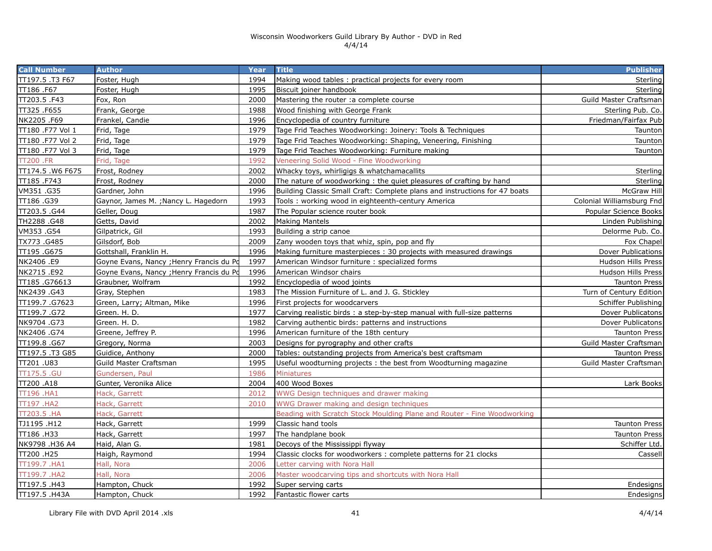| <b>Call Number</b> | <b>Author</b>                            | Year | <b>Title</b>                                                               | <b>Publisher</b>          |
|--------------------|------------------------------------------|------|----------------------------------------------------------------------------|---------------------------|
| TT197.5.T3 F67     | Foster, Hugh                             | 1994 | Making wood tables: practical projects for every room                      | Sterling                  |
| TT186.F67          | Foster, Hugh                             | 1995 | Biscuit joiner handbook                                                    | Sterling                  |
| TT203.5 .F43       | Fox, Ron                                 | 2000 | Mastering the router : a complete course                                   | Guild Master Craftsman    |
| TT325.F655         | Frank, George                            | 1988 | Wood finishing with George Frank                                           | Sterling Pub. Co.         |
| NK2205 .F69        | Frankel, Candie                          | 1996 | Encyclopedia of country furniture                                          | Friedman/Fairfax Pub      |
| TT180 .F77 Vol 1   | Frid, Tage                               | 1979 | Tage Frid Teaches Woodworking: Joinery: Tools & Techniques                 | Taunton                   |
| TT180 .F77 Vol 2   | Frid, Tage                               | 1979 | Tage Frid Teaches Woodworking: Shaping, Veneering, Finishing               | Taunton                   |
| TT180 .F77 Vol 3   | Frid, Tage                               | 1979 | Tage Frid Teaches Woodworking: Furniture making                            | Taunton                   |
| <b>TT200 .FR</b>   | Frid, Tage                               | 1992 | Veneering Solid Wood - Fine Woodworking                                    |                           |
| TT174.5 .W6 F675   | Frost, Rodney                            | 2002 | Whacky toys, whirligigs & whatchamacallits                                 | Sterling                  |
| TT185.F743         | Frost, Rodney                            | 2000 | The nature of woodworking: the quiet pleasures of crafting by hand         | Sterling                  |
| VM351.G35          | Gardner, John                            | 1996 | Building Classic Small Craft: Complete plans and instructions for 47 boats | McGraw Hill               |
| TT186 .G39         | Gaynor, James M. ; Nancy L. Hagedorn     | 1993 | Tools: working wood in eighteenth-century America                          | Colonial Williamsburg Fnd |
| TT203.5 .G44       | Geller, Doug                             | 1987 | The Popular science router book                                            | Popular Science Books     |
| TH2288.G48         | Getts, David                             | 2002 | <b>Making Mantels</b>                                                      | Linden Publishing         |
| VM353.G54          | Gilpatrick, Gil                          | 1993 | Building a strip canoe                                                     | Delorme Pub. Co.          |
| TX773.G485         | Gilsdorf, Bob                            | 2009 | Zany wooden toys that whiz, spin, pop and fly                              | Fox Chapel                |
| TT195.G675         | Gottshall, Franklin H.                   | 1996 | Making furniture masterpieces: 30 projects with measured drawings          | <b>Dover Publications</b> |
| NK2406.E9          | Goyne Evans, Nancy ; Henry Francis du Pd | 1997 | American Windsor furniture: specialized forms                              | <b>Hudson Hills Press</b> |
| NK2715 .E92        | Goyne Evans, Nancy ; Henry Francis du Pd | 1996 | American Windsor chairs                                                    | <b>Hudson Hills Press</b> |
| TT185.G76613       | Graubner, Wolfram                        | 1992 | Encyclopedia of wood joints                                                | <b>Taunton Press</b>      |
| NK2439.G43         | Gray, Stephen                            | 1983 | The Mission Furniture of L. and J. G. Stickley                             | Turn of Century Edition   |
| TT199.7.G7623      | Green, Larry; Altman, Mike               | 1996 | First projects for woodcarvers                                             | Schiffer Publishing       |
| TT199.7.G72        | Green. H. D.                             | 1977 | Carving realistic birds: a step-by-step manual with full-size patterns     | Dover Publicatons         |
| NK9704 .G73        | Green. H. D.                             | 1982 | Carving authentic birds: patterns and instructions                         | Dover Publicatons         |
| NK2406.G74         | Greene, Jeffrey P.                       | 1996 | American furniture of the 18th century                                     | <b>Taunton Press</b>      |
| TT199.8.G67        | Gregory, Norma                           | 2003 | Designs for pyrography and other crafts                                    | Guild Master Craftsman    |
| TT197.5.T3 G85     | Guidice, Anthony                         | 2000 | Tables: outstanding projects from America's best craftsmam                 | <b>Taunton Press</b>      |
| TT201.U83          | Guild Master Craftsman                   | 1995 | Useful woodturning projects: the best from Woodturning magazine            | Guild Master Craftsman    |
| TT175.5 .GU        | Gundersen, Paul                          | 1986 | <b>Miniatures</b>                                                          |                           |
| TT200 .A18         | Gunter, Veronika Alice                   | 2004 | 400 Wood Boxes                                                             | Lark Books                |
| TT196 .HA1         | Hack, Garrett                            | 2012 | WWG Design techniques and drawer making                                    |                           |
| <b>TT197 .HA2</b>  | Hack, Garrett                            | 2010 | WWG Drawer making and design techniques                                    |                           |
| <b>TT203.5 .HA</b> | Hack, Garrett                            |      | Beading with Scratch Stock Moulding Plane and Router - Fine Woodworking    |                           |
| TJ1195 .H12        | Hack, Garrett                            | 1999 | Classic hand tools                                                         | <b>Taunton Press</b>      |
| TT186 .H33         | Hack, Garrett                            | 1997 | The handplane book                                                         | Taunton Press             |
| NK9798 .H36 A4     | Haid, Alan G.                            | 1981 | Decoys of the Mississippi flyway                                           | Schiffer Ltd.             |
| TT200 .H25         | Haigh, Raymond                           | 1994 | Classic clocks for woodworkers : complete patterns for 21 clocks           | Cassell                   |
| TT199.7.HA1        | Hall, Nora                               | 2006 | Letter carving with Nora Hall                                              |                           |
| TT199.7 .HA2       | Hall, Nora                               | 2006 | Master woodcarving tips and shortcuts with Nora Hall                       |                           |
| TT197.5 .H43       | Hampton, Chuck                           | 1992 | Super serving carts                                                        | Endesigns                 |
| TT197.5 .H43A      | Hampton, Chuck                           | 1992 | Fantastic flower carts                                                     | Endesigns                 |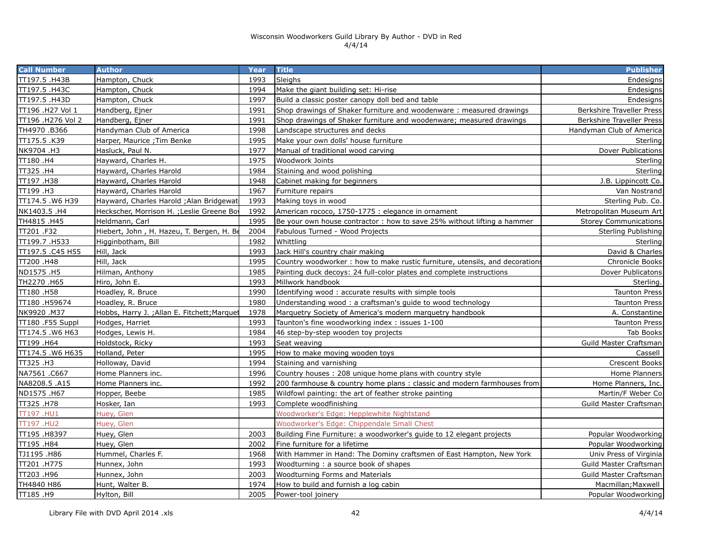| <b>Call Number</b> | <b>Author</b>                               | Year | <b>Title</b>                                                                | <b>Publisher</b>                 |
|--------------------|---------------------------------------------|------|-----------------------------------------------------------------------------|----------------------------------|
| TT197.5 .H43B      | Hampton, Chuck                              | 1993 | Sleighs                                                                     | Endesigns                        |
| TT197.5 .H43C      | Hampton, Chuck                              | 1994 | Make the giant building set: Hi-rise                                        | Endesigns                        |
| TT197.5 .H43D      | Hampton, Chuck                              | 1997 | Build a classic poster canopy doll bed and table                            | Endesigns                        |
| TT196 .H27 Vol 1   | Handberg, Ejner                             | 1991 | Shop drawings of Shaker furniture and woodenware: measured drawings         | <b>Berkshire Traveller Press</b> |
| TT196 .H276 Vol 2  | Handberg, Ejner                             | 1991 | Shop drawings of Shaker furniture and woodenware; measured drawings         | <b>Berkshire Traveller Press</b> |
| TH4970.B366        | Handyman Club of America                    | 1998 | Landscape structures and decks                                              | Handyman Club of America         |
| TT175.5.K39        | Harper, Maurice ; Tim Benke                 | 1995 | Make your own dolls' house furniture                                        | Sterling                         |
| NK9704 .H3         | Hasluck, Paul N.                            | 1977 | Manual of traditional wood carving                                          | Dover Publications               |
| TT180.H4           | Hayward, Charles H.                         | 1975 | Woodwork Joints                                                             | Sterling                         |
| TT325 .H4          | Hayward, Charles Harold                     | 1984 | Staining and wood polishing                                                 | Sterling                         |
| TT197 .H38         | Hayward, Charles Harold                     | 1948 | Cabinet making for beginners                                                | J.B. Lippincott Co.              |
| TT199 .H3          | Hayward, Charles Harold                     | 1967 | Furniture repairs                                                           | Van Nostrand                     |
| TT174.5 .W6 H39    | Hayward, Charles Harold ; Alan Bridgewat    | 1993 | Making toys in wood                                                         | Sterling Pub. Co.                |
| NK1403.5 .H4       | Heckscher, Morrison H. ; Leslie Greene Bo   | 1992 | American rococo, 1750-1775 : elegance in ornament                           | Metropolitan Museum Art          |
| TH4815.H45         | Heldmann, Carl                              | 1995 | Be your own house contractor: how to save 25% without lifting a hammer      | <b>Storey Communications</b>     |
| TT201 .F32         | Hiebert, John, H. Hazeu, T. Bergen, H. Be   | 2004 | Fabulous Turned - Wood Projects                                             | Sterling Publishing              |
| TT199.7.H533       | Higginbotham, Bill                          | 1982 | Whittling                                                                   | Sterling                         |
| TT197.5 .C45 H55   | Hill, Jack                                  | 1993 | Jack Hill's country chair making                                            | David & Charles                  |
| TT200.H48          | Hill, Jack                                  | 1995 | Country woodworker: how to make rustic furniture, utensils, and decorations | <b>Chronicle Books</b>           |
| ND1575 .H5         | Hilman, Anthony                             | 1985 | Painting duck decoys: 24 full-color plates and complete instructions        | Dover Publicatons                |
| TH2270.H65         | Hiro, John E.                               | 1993 | Millwork handbook                                                           | Sterling.                        |
| TT180.H58          | Hoadley, R. Bruce                           | 1990 | Identifying wood: accurate results with simple tools                        | <b>Taunton Press</b>             |
| TT180.H59674       | Hoadley, R. Bruce                           | 1980 | Understanding wood: a craftsman's guide to wood technology                  | <b>Taunton Press</b>             |
| NK9920.M37         | Hobbs, Harry J.; Allan E. Fitchett; Marquet | 1978 | Marquetry Society of America's modern marquetry handbook                    | A. Constantine                   |
| TT180 .F55 Suppl   | Hodges, Harriet                             | 1993 | Taunton's fine woodworking index: issues 1-100                              | <b>Taunton Press</b>             |
| TT174.5 .W6 H63    | Hodges, Lewis H.                            | 1984 | 46 step-by-step wooden toy projects                                         | <b>Tab Books</b>                 |
| TT199 .H64         | Holdstock, Ricky                            | 1993 | Seat weaving                                                                | Guild Master Craftsman           |
| TT174.5 .W6 H635   | Holland, Peter                              | 1995 | How to make moving wooden toys                                              | Cassell                          |
| TT325.H3           | Holloway, David                             | 1994 | Staining and varnishing                                                     | Crescent Books                   |
| NA7561 .C667       | Home Planners inc.                          | 1996 | Country houses: 208 unique home plans with country style                    | Home Planners                    |
| NA8208.5 .A15      | Home Planners inc.                          | 1992 | 200 farmhouse & country home plans: classic and modern farmhouses from      | Home Planners, Inc.              |
| ND1575 .H67        | Hopper, Beebe                               | 1985 | Wildfowl painting: the art of feather stroke painting                       | Martin/F Weber Co                |
| TT325 .H78         | Hosker, Ian                                 | 1993 | Complete woodfinishing                                                      | Guild Master Craftsman           |
| TT197.HU1          | Huey, Glen                                  |      | Woodworker's Edge: Hepplewhite Nightstand                                   |                                  |
| <b>TT197.HU2</b>   | Huey, Glen                                  |      | Woodworker's Edge: Chippendale Small Chest                                  |                                  |
| TT195 .H8397       | Huey, Glen                                  | 2003 | Building Fine Furniture: a woodworker's guide to 12 elegant projects        | Popular Woodworking              |
| TT195 .H84         | Huey, Glen                                  | 2002 | Fine furniture for a lifetime                                               | Popular Woodworking              |
| TJ1195 .H86        | Hummel, Charles F.                          | 1968 | With Hammer in Hand: The Dominy craftsmen of East Hampton, New York         | Univ Press of Virginia           |
| TT201.H775         | Hunnex, John                                | 1993 | Woodturning: a source book of shapes                                        | Guild Master Craftsman           |
| TT203.H96          | Hunnex, John                                | 2003 | <b>Woodturning Forms and Materials</b>                                      | Guild Master Craftsman           |
| TH4840 H86         | Hunt, Walter B.                             | 1974 | How to build and furnish a log cabin                                        | Macmillan; Maxwell               |
| H9. H9T            | Hylton, Bill                                | 2005 | Power-tool joinery                                                          | Popular Woodworking              |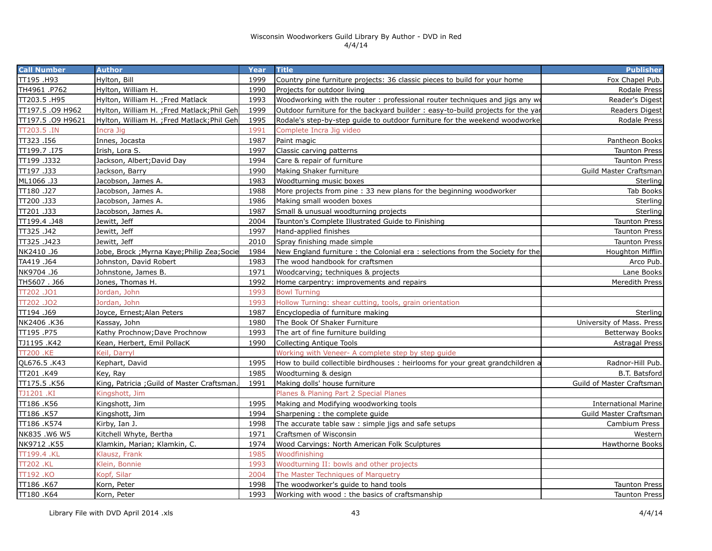| <b>Call Number</b> | <b>Author</b>                               | Year | <b>Title</b>                                                                   | <b>Publisher</b>            |
|--------------------|---------------------------------------------|------|--------------------------------------------------------------------------------|-----------------------------|
| TT195.H93          | Hylton, Bill                                | 1999 | Country pine furniture projects: 36 classic pieces to build for your home      | Fox Chapel Pub.             |
| TH4961.P762        | Hylton, William H.                          | 1990 | Projects for outdoor living                                                    | Rodale Press                |
| TT203.5 .H95       | Hylton, William H. ; Fred Matlack           | 1993 | Woodworking with the router : professional router techniques and jigs any wo   | Reader's Digest             |
| TT197.5 .09 H962   | Hylton, William H. ;Fred Matlack;Phil Geh   | 1999 | Outdoor furniture for the backyard builder: easy-to-build projects for the yar | Readers Digest              |
| TT197.5 .09 H9621  | Hylton, William H. ; Fred Matlack; Phil Geh | 1995 | Rodale's step-by-step guide to outdoor furniture for the weekend woodworke     | Rodale Press                |
| $TT203.5$ .IN      | Incra Jig                                   | 1991 | Complete Incra Jig video                                                       |                             |
| TT323.I56          | Innes, Jocasta                              | 1987 | Paint magic                                                                    | Pantheon Books              |
| TT199.7.I75        | Irish, Lora S.                              | 1997 | Classic carving patterns                                                       | <b>Taunton Press</b>        |
| TT199.J332         | Jackson, Albert; David Day                  | 1994 | Care & repair of furniture                                                     | <b>Taunton Press</b>        |
| TT197 .J33         | Jackson, Barry                              | 1990 | Making Shaker furniture                                                        | Guild Master Craftsman      |
| ML1066.J3          | Jacobson, James A.                          | 1983 | Woodturning music boxes                                                        | Sterling                    |
| TT180.J27          | Jacobson, James A.                          | 1988 | More projects from pine: 33 new plans for the beginning woodworker             | Tab Books                   |
| TT200 .J33         | Jacobson, James A.                          | 1986 | Making small wooden boxes                                                      | Sterling                    |
| TT201 .J33         | Jacobson, James A.                          | 1987 | Small & unusual woodturning projects                                           | Sterling                    |
| TT199.4.J48        | Jewitt, Jeff                                | 2004 | Taunton's Complete Illustrated Guide to Finishing                              | <b>Taunton Press</b>        |
| TT325.J42          | Jewitt, Jeff                                | 1997 | Hand-applied finishes                                                          | <b>Taunton Press</b>        |
| TT325.J423         | Jewitt, Jeff                                | 2010 | Spray finishing made simple                                                    | <b>Taunton Press</b>        |
| NK2410.J6          | Jobe, Brock ; Myrna Kaye; Philip Zea; Socie | 1984 | New England furniture: the Colonial era: selections from the Society for the   | Houghton Mifflin            |
| TA419 .J64         | Johnston, David Robert                      | 1983 | The wood handbook for craftsmen                                                | Arco Pub.                   |
| NK9704 .J6         | Johnstone, James B.                         | 1971 | Woodcarving; techniques & projects                                             | Lane Books                  |
| TH5607. J66        | Jones, Thomas H.                            | 1992 | Home carpentry: improvements and repairs                                       | Meredith Press              |
| T202 .JO1          | Jordan, John                                | 1993 | <b>Bowl Turning</b>                                                            |                             |
| T202.JO2           | Jordan, John                                | 1993 | Hollow Turning: shear cutting, tools, grain orientation                        |                             |
| TT194 .J69         | Joyce, Ernest; Alan Peters                  | 1987 | Encyclopedia of furniture making                                               | Sterling                    |
| NK2406 .K36        | Kassay, John                                | 1980 | The Book Of Shaker Furniture                                                   | University of Mass. Press   |
| TT195.P75          | Kathy Prochnow; Dave Prochnow               | 1993 | The art of fine furniture building                                             | <b>Betterway Books</b>      |
| TJ1195.K42         | Kean, Herbert, Emil PollacK                 | 1990 | <b>Collecting Antique Tools</b>                                                | <b>Astragal Press</b>       |
| <b>TT200 .KE</b>   | Keil, Darryl                                |      | Working with Veneer- A complete step by step guide                             |                             |
| QL676.5 .K43       | Kephart, David                              | 1995 | How to build collectible birdhouses : heirlooms for your great grandchildren a | Radnor-Hill Pub.            |
| TT201 .K49         | Key, Ray                                    | 1985 | Woodturning & design                                                           | B.T. Batsford               |
| TT175.5.K56        | King, Patricia ; Guild of Master Craftsman  | 1991 | Making dolls' house furniture                                                  | Guild of Master Craftsman   |
| TJ1201 .KI         | Kingshott, Jim                              |      | Planes & Planing Part 2 Special Planes                                         |                             |
| TT186.K56          | Kingshott, Jim                              | 1995 | Making and Modifying woodworking tools                                         | <b>International Marine</b> |
| TT186 .K57         | Kingshott, Jim                              | 1994 | Sharpening : the complete guide                                                | Guild Master Craftsman      |
| TT186 .K574        | Kirby, Ian J.                               | 1998 | The accurate table saw: simple jigs and safe setups                            | Cambium Press               |
| NK835.W6 W5        | Kitchell Whyte, Bertha                      | 1971 | Craftsmen of Wisconsin                                                         | Western                     |
| NK9712.K55         | Klamkin, Marian; Klamkin, C.                | 1974 | Wood Carvings: North American Folk Sculptures                                  | <b>Hawthorne Books</b>      |
| TT199.4 .KL        | Klausz, Frank                               | 1985 | Woodfinishina                                                                  |                             |
| <b>TT202.KL</b>    | Klein, Bonnie                               | 1993 | Woodturning II: bowls and other projects                                       |                             |
| TT192 .KO          | Kopf, Silar                                 | 2004 | The Master Techniques of Marquetry                                             |                             |
| TT186.K67          | Korn, Peter                                 | 1998 | The woodworker's quide to hand tools                                           | <b>Taunton Press</b>        |
| TT180 .K64         | Korn, Peter                                 | 1993 | Working with wood: the basics of craftsmanship                                 | <b>Taunton Press</b>        |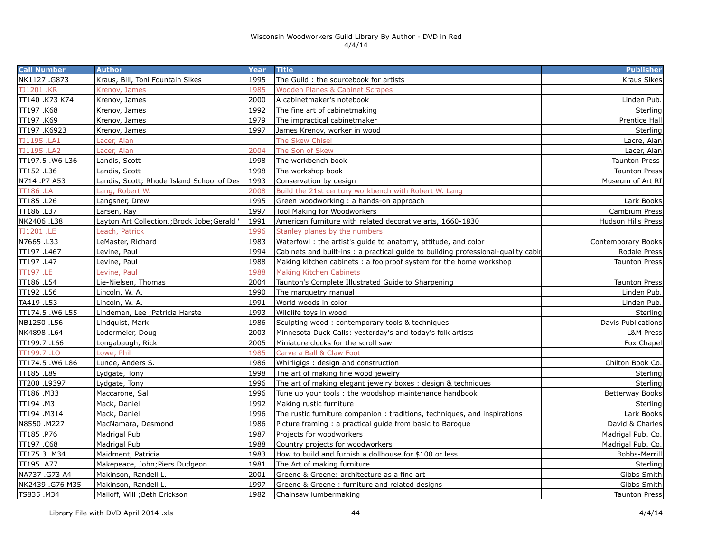| <b>Call Number</b> | <b>Author</b>                              | Year | <b>Title</b>                                                                      | <b>Publisher</b>       |
|--------------------|--------------------------------------------|------|-----------------------------------------------------------------------------------|------------------------|
| NK1127.G873        | Kraus, Bill, Toni Fountain Sikes           | 1995 | The Guild: the sourcebook for artists                                             | <b>Kraus Sikes</b>     |
| <b>TJ1201 .KR</b>  | Krenov, James                              | 1985 | <b>Wooden Planes &amp; Cabinet Scrapes</b>                                        |                        |
| TT140 .K73 K74     | Krenov, James                              | 2000 | A cabinetmaker's notebook                                                         | Linden Pub.            |
| TT197.K68          | Krenov, James                              | 1992 | The fine art of cabinetmaking                                                     | Sterling               |
| TT197 .K69         | Krenov, James                              | 1979 | The impractical cabinetmaker                                                      | Prentice Hall          |
| TT197 .K6923       | Krenov, James                              | 1997 | James Krenov, worker in wood                                                      | Sterling               |
| TJ1195.LA1         | Lacer, Alan                                |      | The Skew Chisel                                                                   | Lacre, Alan            |
| TJ1195.LA2         | Lacer, Alan                                | 2004 | The Son of Skew                                                                   | Lacer, Alan            |
| TT197.5 .W6 L36    | Landis, Scott                              | 1998 | The workbench book                                                                | <b>Taunton Press</b>   |
| TT152.L36          | Landis, Scott                              | 1998 | The workshop book                                                                 | <b>Taunton Press</b>   |
| N714 .P7 A53       | Landis, Scott; Rhode Island School of Des  | 1993 | Conservation by design                                                            | Museum of Art RI       |
| <b>TT186.LA</b>    | Lang, Robert W.                            | 2008 | Build the 21st century workbench with Robert W. Lang                              |                        |
| TT185.L26          | Langsner, Drew                             | 1995 | Green woodworking: a hands-on approach                                            | Lark Books             |
| TT186 .L37         | Larsen, Ray                                | 1997 | Tool Making for Woodworkers                                                       | Cambium Press          |
| NK2406 .L38        | Layton Art Collection.; Brock Jobe; Gerald | 1991 | American furniture with related decorative arts, 1660-1830                        | Hudson Hills Press     |
| TJ1201 .LE         | each, Patrick                              | 1996 | Stanley planes by the numbers                                                     |                        |
| N7665.L33          | LeMaster, Richard                          | 1983 | Waterfowl: the artist's guide to anatomy, attitude, and color                     | Contemporary Books     |
| TT197 .L467        | evine, Paul                                | 1994 | Cabinets and built-ins : a practical guide to building professional-quality cabin | Rodale Press           |
| TT197 .L47         | Levine, Paul                               | 1988 | Making kitchen cabinets: a foolproof system for the home workshop                 | <b>Taunton Press</b>   |
| TT197 .LE          | evine, Paul                                | 1988 | <b>Making Kitchen Cabinets</b>                                                    |                        |
| TT186 .L54         | Lie-Nielsen, Thomas                        | 2004 | Taunton's Complete Illustrated Guide to Sharpening                                | <b>Taunton Press</b>   |
| TT192 .L56         | Lincoln, W. A.                             | 1990 | The marquetry manual                                                              | Linden Pub.            |
| TA419 .L53         | Lincoln, W. A.                             | 1991 | World woods in color                                                              | Linden Pub.            |
| TT174.5 .W6 L55    | Lindeman, Lee ; Patricia Harste            | 1993 | Wildlife toys in wood                                                             | Sterling               |
| NB1250.L56         | Lindquist, Mark                            | 1986 | Sculpting wood: contemporary tools & techniques                                   | Davis Publications     |
| NK4898 .L64        | Lodermeier, Doug                           | 2003 | Minnesota Duck Calls: yesterday's and today's folk artists                        | L&M Press              |
| TT199.7.L66        | Longabaugh, Rick                           | 2005 | Miniature clocks for the scroll saw                                               | Fox Chapel             |
| TT199.7 .LO        | Lowe, Phil                                 | 1985 | Carve a Ball & Claw Foot                                                          |                        |
| TT174.5 .W6 L86    | Lunde, Anders S.                           | 1986 | Whirligigs: design and construction                                               | Chilton Book Co.       |
| TT185.L89          | Lydgate, Tony                              | 1998 | The art of making fine wood jewelry                                               | Sterling               |
| TT200 .L9397       | Lydgate, Tony                              | 1996 | The art of making elegant jewelry boxes: design & techniques                      | Sterling               |
| TT186.M33          | Maccarone, Sal                             | 1996 | Tune up your tools: the woodshop maintenance handbook                             | <b>Betterway Books</b> |
| TT194 .M3          | Mack, Daniel                               | 1992 | Making rustic furniture                                                           | Sterling               |
| TT194 .M314        | Mack, Daniel                               | 1996 | The rustic furniture companion : traditions, techniques, and inspirations         | Lark Books             |
| N8550.M227         | MacNamara, Desmond                         | 1986 | Picture framing: a practical guide from basic to Baroque                          | David & Charles        |
| TT185.P76          | Madrigal Pub                               | 1987 | Projects for woodworkers                                                          | Madrigal Pub. Co.      |
| TT197.C68          | Madrigal Pub                               | 1988 | Country projects for woodworkers                                                  | Madrigal Pub. Co.      |
| TT175.3 .M34       | Maidment, Patricia                         | 1983 | How to build and furnish a dollhouse for \$100 or less                            | Bobbs-Merrill          |
| TT195 .A77         | Makepeace, John; Piers Dudgeon             | 1981 | The Art of making furniture                                                       | Sterling               |
| NA737 .G73 A4      | Makinson, Randell L.                       | 2001 | Greene & Greene: architecture as a fine art                                       | Gibbs Smith            |
| NK2439 .G76 M35    | Makinson, Randell L.                       | 1997 | Greene & Greene: furniture and related designs                                    | Gibbs Smith            |
| TS835.M34          | Malloff, Will ; Beth Erickson              | 1982 | Chainsaw lumbermaking                                                             | <b>Taunton Press</b>   |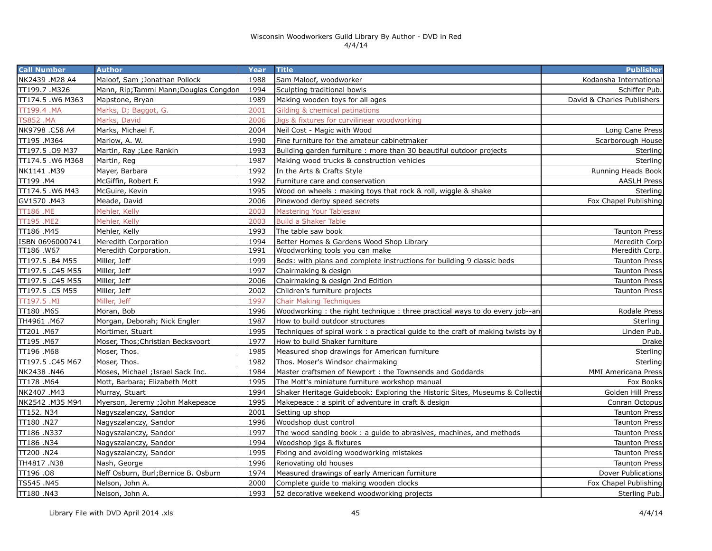| <b>Call Number</b> | <b>Author</b>                          | Year | <b>Title</b>                                                                  | <b>Publisher</b>           |
|--------------------|----------------------------------------|------|-------------------------------------------------------------------------------|----------------------------|
| NK2439 .M28 A4     | Maloof, Sam; Jonathan Pollock          | 1988 | Sam Maloof, woodworker                                                        | Kodansha International     |
| TT199.7 .M326      | Mann, Rip; Tammi Mann; Douglas Congdon | 1994 | Sculpting traditional bowls                                                   | Schiffer Pub.              |
| TT174.5 .W6 M363   | Mapstone, Bryan                        | 1989 | Making wooden toys for all ages                                               | David & Charles Publishers |
| TT199.4 .MA        | Marks, D; Baggot, G.                   | 2001 | Gilding & chemical patinations                                                |                            |
| <b>TS852.MA</b>    | Marks, David                           | 2006 | Jigs & fixtures for curvilinear woodworking                                   |                            |
| NK9798 .C58 A4     | Marks, Michael F.                      | 2004 | Neil Cost - Magic with Wood                                                   | Long Cane Press            |
| TT195.M364         | Marlow, A. W.                          | 1990 | Fine furniture for the amateur cabinetmaker                                   | Scarborough House          |
| TT197.5 .09 M37    | Martin, Ray ; Lee Rankin               | 1993 | Building garden furniture: more than 30 beautiful outdoor projects            | Sterling                   |
| TT174.5.W6 M368    | Martin, Reg                            | 1987 | Making wood trucks & construction vehicles                                    | Sterling                   |
| NK1141 .M39        | Mayer, Barbara                         | 1992 | In the Arts & Crafts Style                                                    | Running Heads Book         |
| TT199 .M4          | McGiffin, Robert F.                    | 1992 | Furniture care and conservation                                               | <b>AASLH Press</b>         |
| TT174.5.W6 M43     | McGuire, Kevin                         | 1995 | Wood on wheels: making toys that rock & roll, wiggle & shake                  | Sterling                   |
| GV1570.M43         | Meade, David                           | 2006 | Pinewood derby speed secrets                                                  | Fox Chapel Publishing      |
| TT186 .ME          | Mehler, Kelly                          | 2003 | <b>Mastering Your Tablesaw</b>                                                |                            |
| TT195 .ME2         | Mehler, Kelly                          | 2003 | <b>Build a Shaker Table</b>                                                   |                            |
| TT186 .M45         | Mehler, Kelly                          | 1993 | The table saw book                                                            | <b>Taunton Press</b>       |
| ISBN 0696000741    | Meredith Corporation                   | 1994 | Better Homes & Gardens Wood Shop Library                                      | Meredith Corp              |
| TT186 .W67         | Meredith Corporation.                  | 1991 | Woodworking tools you can make                                                | Meredith Corp.             |
| TT197.5 .B4 M55    | Miller, Jeff                           | 1999 | Beds: with plans and complete instructions for building 9 classic beds        | <b>Taunton Press</b>       |
| TT197.5 .C45 M55   | Miller, Jeff                           | 1997 | Chairmaking & design                                                          | <b>Taunton Press</b>       |
| TT197.5 .C45 M55   | Miller, Jeff                           | 2006 | Chairmaking & design 2nd Edition                                              | <b>Taunton Press</b>       |
| TT197.5 .C5 M55    | Miller, Jeff                           | 2002 | Children's furniture projects                                                 | <b>Taunton Press</b>       |
| TT197.5 .MI        | Miller, Jeff                           | 1997 | <b>Chair Making Techniques</b>                                                |                            |
| TT180 .M65         | Moran, Bob                             | 1996 | Woodworking: the right technique: three practical ways to do every job--an    | Rodale Press               |
| TH4961 .M67        | Morgan, Deborah; Nick Engler           | 1987 | How to build outdoor structures                                               | Sterling                   |
| TT201 .M67         | Mortimer, Stuart                       | 1995 | Techniques of spiral work: a practical guide to the craft of making twists by | Linden Pub.                |
| TT195 .M67         | Moser, Thos; Christian Becksvoort      | 1977 | How to build Shaker furniture                                                 | Drake                      |
| TT196 .M68         | Moser, Thos.                           | 1985 | Measured shop drawings for American furniture                                 | Sterling                   |
| TT197.5 .C45 M67   | Moser, Thos.                           | 1982 | Thos. Moser's Windsor chairmaking                                             | Sterling                   |
| NK2438.N46         | Moses, Michael ; Israel Sack Inc.      | 1984 | Master craftsmen of Newport: the Townsends and Goddards                       | <b>MMI Americana Press</b> |
| TT178 .M64         | Mott, Barbara; Elizabeth Mott          | 1995 | The Mott's miniature furniture workshop manual                                | Fox Books                  |
| NK2407.M43         | Murray, Stuart                         | 1994 | Shaker Heritage Guidebook: Exploring the Historic Sites, Museums & Collection | Golden Hill Press          |
| NK2542 .M35 M94    | Myerson, Jeremy ; John Makepeace       | 1995 | Makepeace: a spirit of adventure in craft & design                            | Conran Octopus             |
| TT152. N34         | Nagyszalanczy, Sandor                  | 2001 | Setting up shop                                                               | <b>Taunton Press</b>       |
| TT180 .N27         | Nagyszalanczy, Sandor                  | 1996 | Woodshop dust control                                                         | <b>Taunton Press</b>       |
| TT186 .N337        | Nagyszalanczy, Sandor                  | 1997 | The wood sanding book: a guide to abrasives, machines, and methods            | <b>Taunton Press</b>       |
| TT186 .N34         | Nagyszalanczy, Sandor                  | 1994 | Woodshop jigs & fixtures                                                      | <b>Taunton Press</b>       |
| TT200 .N24         | Nagyszalanczy, Sandor                  | 1995 | Fixing and avoiding woodworking mistakes                                      | <b>Taunton Press</b>       |
| TH4817.N38         | Nash, George                           | 1996 | Renovating old houses                                                         | <b>Taunton Press</b>       |
| TT196.08           | Neff Osburn, Burl; Bernice B. Osburn   | 1974 | Measured drawings of early American furniture                                 | Dover Publications         |
| TS545 .N45         | Nelson, John A.                        | 2000 | Complete quide to making wooden clocks                                        | Fox Chapel Publishing      |
| TT180.N43          | Nelson, John A.                        | 1993 | 52 decorative weekend woodworking projects                                    | Sterling Pub.              |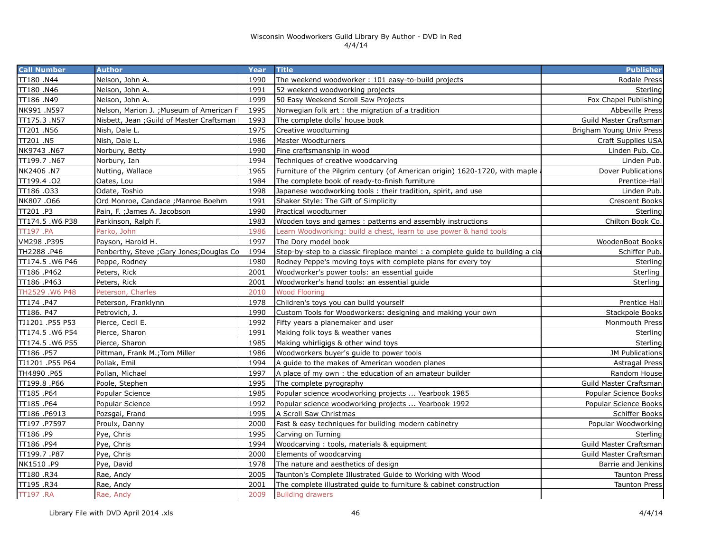| <b>Call Number</b> | <b>Author</b>                             | Year | <b>Title</b>                                                                    | <b>Publisher</b>         |
|--------------------|-------------------------------------------|------|---------------------------------------------------------------------------------|--------------------------|
| TT180 .N44         | Nelson, John A.                           | 1990 | The weekend woodworker: 101 easy-to-build projects                              | Rodale Press             |
| TT180 .N46         | Nelson, John A.                           | 1991 | 52 weekend woodworking projects                                                 | Sterling                 |
| TT186 .N49         | Nelson, John A.                           | 1999 | 50 Easy Weekend Scroll Saw Projects                                             | Fox Chapel Publishing    |
| NK991.N597         | Nelson, Marion J. ; Museum of American F  | 1995 | Norwegian folk art: the migration of a tradition                                | <b>Abbeville Press</b>   |
| TT175.3 .N57       | Nisbett, Jean ; Guild of Master Craftsman | 1993 | The complete dolls' house book                                                  | Guild Master Craftsman   |
| TT201 .N56         | Nish, Dale L.                             | 1975 | Creative woodturning                                                            | Brigham Young Univ Press |
| TT201 .N5          | Nish, Dale L.                             | 1986 | Master Woodturners                                                              | Craft Supplies USA       |
| NK9743 .N67        | Norbury, Betty                            | 1990 | Fine craftsmanship in wood                                                      | Linden Pub. Co.          |
| TT199.7.N67        | Norbury, Ian                              | 1994 | Techniques of creative woodcarving                                              | Linden Pub.              |
| NK2406 .N7         | Nutting, Wallace                          | 1965 | Furniture of the Pilgrim century (of American origin) 1620-1720, with maple     | Dover Publications       |
| TT199.4.02         | Oates, Lou                                | 1984 | The complete book of ready-to-finish furniture                                  | Prentice-Hall            |
| TT186.033          | Odate, Toshio                             | 1998 | Japanese woodworking tools: their tradition, spirit, and use                    | Linden Pub.              |
| NK807.066          | Ord Monroe, Candace ; Manroe Boehm        | 1991 | Shaker Style: The Gift of Simplicity                                            | <b>Crescent Books</b>    |
| TT201 .P3          | Pain, F. ; James A. Jacobson              | 1990 | Practical woodturner                                                            | Sterling                 |
| TT174.5 .W6 P38    | Parkinson, Ralph F.                       | 1983 | Wooden toys and games: patterns and assembly instructions                       | Chilton Book Co.         |
| TT197 .PA          | Parko, John                               | 1986 | Learn Woodworking: build a chest, learn to use power & hand tools               |                          |
| VM298.P395         | Payson, Harold H.                         | 1997 | The Dory model book                                                             | WoodenBoat Books         |
| TH2288 .P46        | Penberthy, Steve ; Gary Jones; Douglas Co | 1994 | Step-by-step to a classic fireplace mantel : a complete guide to building a cla | Schiffer Pub.            |
| TT174.5 .W6 P46    | Peppe, Rodney                             | 1980 | Rodney Peppe's moving toys with complete plans for every toy                    | Sterling                 |
| TT186 .P462        | Peters, Rick                              | 2001 | Woodworker's power tools: an essential quide                                    | Sterling                 |
| TT186.P463         | Peters, Rick                              | 2001 | Woodworker's hand tools: an essential guide                                     | Sterling                 |
| TH2529.W6 P48      | Peterson, Charles                         | 2010 | <b>Wood Flooring</b>                                                            |                          |
| TT174 .P47         | Peterson, Franklynn                       | 1978 | Children's toys you can build yourself                                          | Prentice Hall            |
| TT186. P47         | Petrovich, J.                             | 1990 | Custom Tools for Woodworkers: designing and making your own                     | <b>Stackpole Books</b>   |
| TJ1201 .P55 P53    | Pierce, Cecil E.                          | 1992 | Fifty years a planemaker and user                                               | Monmouth Press           |
| TT174.5 .W6 P54    | Pierce, Sharon                            | 1991 | Making folk toys & weather vanes                                                | Sterling                 |
| TT174.5 .W6 P55    | Pierce, Sharon                            | 1985 | Making whirligigs & other wind toys                                             | Sterling                 |
| TT186 .P57         | Pittman, Frank M.; Tom Miller             | 1986 | Woodworkers buyer's guide to power tools                                        | JM Publications          |
| TJ1201 .P55 P64    | Pollak, Emil                              | 1994 | A guide to the makes of American wooden planes                                  | <b>Astragal Press</b>    |
| TH4890 .P65        | Pollan, Michael                           | 1997 | A place of my own: the education of an amateur builder                          | Random House             |
| TT199.8 .P66       | Poole, Stephen                            | 1995 | The complete pyrography                                                         | Guild Master Craftsman   |
| TT185.P64          | Popular Science                           | 1985 | Popular science woodworking projects  Yearbook 1985                             | Popular Science Books    |
| TT185.P64          | Popular Science                           | 1992 | Popular science woodworking projects  Yearbook 1992                             | Popular Science Books    |
| TT186 .P6913       | Pozsgai, Frand                            | 1995 | A Scroll Saw Christmas                                                          | Schiffer Books           |
| TT197 .P7597       | Proulx, Danny                             | 2000 | Fast & easy techniques for building modern cabinetry                            | Popular Woodworking      |
| TT186 .P9          | Pye, Chris                                | 1995 | Carving on Turning                                                              | Sterling                 |
| TT186.P94          | Pye, Chris                                | 1994 | Woodcarving: tools, materials & equipment                                       | Guild Master Craftsman   |
| TT199.7 .P87       | Pye, Chris                                | 2000 | Elements of woodcarving                                                         | Guild Master Craftsman   |
| NK1510.P9          | Pye, David                                | 1978 | The nature and aesthetics of design                                             | Barrie and Jenkins       |
| TT180.R34          | Rae, Andy                                 | 2005 | Taunton's Complete Illustrated Guide to Working with Wood                       | <b>Taunton Press</b>     |
| TT195.R34          | Rae, Andy                                 | 2001 | The complete illustrated quide to furniture & cabinet construction              | <b>Taunton Press</b>     |
| <b>TT197.RA</b>    | Rae, Andy                                 | 2009 | <b>Building drawers</b>                                                         |                          |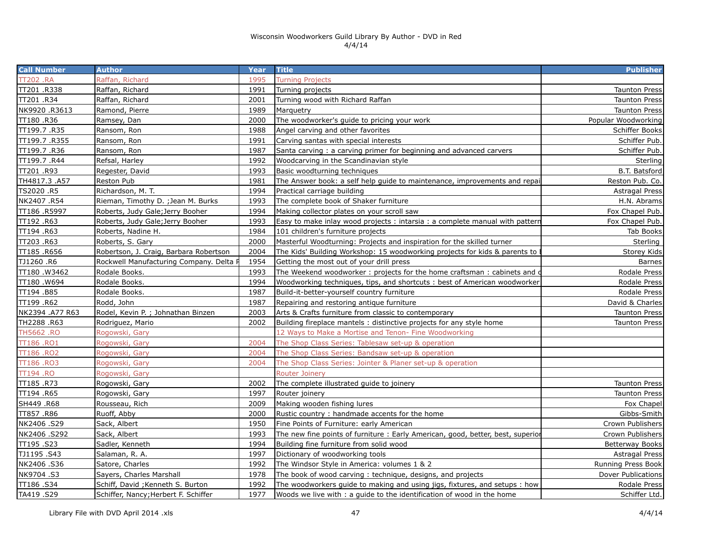| <b>Call Number</b> | <b>Author</b>                           | Year | <b>Title</b>                                                                                 | <b>Publisher</b>       |  |
|--------------------|-----------------------------------------|------|----------------------------------------------------------------------------------------------|------------------------|--|
| <b>TT202 .RA</b>   | Raffan, Richard                         | 1995 | <b>Turning Projects</b>                                                                      |                        |  |
| TT201.R338         | Raffan, Richard                         | 1991 | Turning projects                                                                             | <b>Taunton Press</b>   |  |
| TT201 .R34         | Raffan, Richard                         | 2001 | Turning wood with Richard Raffan                                                             | <b>Taunton Press</b>   |  |
| NK9920.R3613       | Ramond, Pierre                          | 1989 | Marquetry                                                                                    | <b>Taunton Press</b>   |  |
| TT180 .R36         | Ramsey, Dan                             | 2000 | The woodworker's guide to pricing your work                                                  | Popular Woodworking    |  |
| TT199.7 .R35       | Ransom, Ron                             | 1988 | Angel carving and other favorites                                                            | Schiffer Books         |  |
| TT199.7 .R355      | Ransom, Ron                             | 1991 | Carving santas with special interests                                                        | Schiffer Pub.          |  |
| TT199.7 .R36       | Ransom, Ron                             | 1987 | Santa carving: a carving primer for beginning and advanced carvers                           | Schiffer Pub.          |  |
| TT199.7.R44        | Refsal, Harley                          | 1992 | Woodcarving in the Scandinavian style                                                        | Sterling               |  |
| TT201 .R93         | Regester, David                         | 1993 | B.T. Batsford<br>Basic woodturning techniques                                                |                        |  |
| TH4817.3 .A57      | Reston Pub                              | 1981 | Reston Pub. Co.<br>The Answer book: a self help guide to maintenance, improvements and repai |                        |  |
| TS2020 .R5         | Richardson, M. T.                       | 1994 | Practical carriage building                                                                  | Astragal Press         |  |
| NK2407.R54         | Rieman, Timothy D. ; Jean M. Burks      | 1993 | The complete book of Shaker furniture                                                        | H.N. Abrams            |  |
| TT186 .R5997       | Roberts, Judy Gale; Jerry Booher        | 1994 | Making collector plates on your scroll saw                                                   | Fox Chapel Pub.        |  |
| TT192 .R63         | Roberts, Judy Gale; Jerry Booher        | 1993 | Easy to make inlay wood projects: intarsia: a complete manual with pattern                   | Fox Chapel Pub.        |  |
| TT194 .R63         | Roberts, Nadine H.                      | 1984 | 101 children's furniture projects                                                            | Tab Books              |  |
| TT203 .R63         | Roberts, S. Gary                        | 2000 | Masterful Woodturning: Projects and inspiration for the skilled turner                       | Sterling               |  |
| TT185.R656         | Robertson, J. Craig, Barbara Robertson  | 2004 | The Kids' Building Workshop: 15 woodworking projects for kids & parents to                   | Storey Kids            |  |
| TJ1260 .R6         | Rockwell Manufacturing Company. Delta I | 1954 | Getting the most out of your drill press                                                     | Barnes                 |  |
| TT180.W3462        | Rodale Books.                           | 1993 | The Weekend woodworker: projects for the home craftsman: cabinets and o                      | Rodale Press           |  |
| TT180 .W694        | Rodale Books.                           | 1994 | Woodworking techniques, tips, and shortcuts: best of American woodworker                     | Rodale Press           |  |
| TT194 .B85         | Rodale Books.                           | 1987 | Build-it-better-yourself country furniture                                                   | Rodale Press           |  |
| TT199 .R62         | Rodd, John                              | 1987 | Repairing and restoring antique furniture                                                    | David & Charles        |  |
| NK2394 .A77 R63    | Rodel, Kevin P. ; Johnathan Binzen      | 2003 | Arts & Crafts furniture from classic to contemporary                                         | <b>Taunton Press</b>   |  |
| TH2288.R63         | Rodriguez, Mario                        | 2002 | Building fireplace mantels: distinctive projects for any style home                          | <b>Taunton Press</b>   |  |
| TH5662.RO          | Rogowski, Gary                          |      | 12 Ways to Make a Mortise and Tenon- Fine Woodworking                                        |                        |  |
| <b>TT186 .RO1</b>  | Rogowski, Gary                          | 2004 | The Shop Class Series: Tablesaw set-up & operation                                           |                        |  |
| TT186 .RO2         | Rogowski, Gary                          | 2004 | The Shop Class Series: Bandsaw set-up & operation                                            |                        |  |
| TT186 .RO3         | Rogowski, Gary                          | 2004 | The Shop Class Series: Jointer & Planer set-up & operation                                   |                        |  |
| TT194 .RO          | Rogowski, Gary                          |      | <b>Router Joinery</b>                                                                        |                        |  |
| TT185.R73          | Rogowski, Gary                          | 2002 | The complete illustrated guide to joinery                                                    | <b>Taunton Press</b>   |  |
| TT194 .R65         | Rogowski, Gary                          | 1997 | Router joinery                                                                               | <b>Taunton Press</b>   |  |
| SH449 .R68         | Rousseau, Rich                          | 2009 | Making wooden fishing lures                                                                  | Fox Chapel             |  |
| TT857 .R86         | Ruoff, Abby                             | 2000 | Rustic country: handmade accents for the home                                                | Gibbs-Smith            |  |
| NK2406.S29         | Sack, Albert                            | 1950 | Fine Points of Furniture: early American                                                     | Crown Publishers       |  |
| NK2406 .S292       | Sack, Albert                            | 1993 | The new fine points of furniture: Early American, good, better, best, superior               | Crown Publishers       |  |
| TT195.S23          | Sadler, Kenneth                         | 1994 | Building fine furniture from solid wood                                                      | <b>Betterway Books</b> |  |
| TJ1195.S43         | Salaman, R. A.                          | 1997 | Dictionary of woodworking tools                                                              | Astragal Press         |  |
| NK2406 .S36        | Satore, Charles                         | 1992 | The Windsor Style in America: volumes 1 & 2                                                  | Running Press Book     |  |
| NK9704.S3          | Sayers, Charles Marshall                | 1978 | The book of wood carving: technique, designs, and projects                                   | Dover Publications     |  |
| TT186.S34          | Schiff, David ; Kenneth S. Burton       | 1992 | The woodworkers guide to making and using jigs, fixtures, and setups : how                   | Rodale Press           |  |
| S29. TA419         | Schiffer, Nancy; Herbert F. Schiffer    | 1977 | Woods we live with : a quide to the identification of wood in the home                       | Schiffer Ltd.          |  |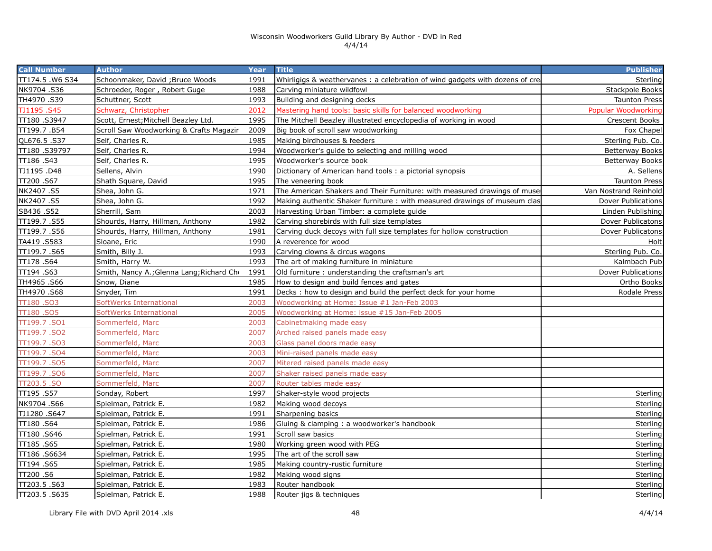| <b>Call Number</b> | <b>Author</b>                            | Year | <b>Title</b>                                                                  | <b>Publisher</b>      |
|--------------------|------------------------------------------|------|-------------------------------------------------------------------------------|-----------------------|
| TT174.5 .W6 S34    | Schoonmaker, David ; Bruce Woods         | 1991 | Whirligigs & weathervanes: a celebration of wind gadgets with dozens of creal | Sterling              |
| NK9704 .S36        | Schroeder, Roger, Robert Guge            | 1988 | Carving miniature wildfowl                                                    | Stackpole Books       |
| TH4970.S39         | Schuttner, Scott                         | 1993 | Building and designing decks                                                  | <b>Taunton Press</b>  |
| TJ1195.S45         | Schwarz, Christopher                     | 2012 | Mastering hand tools: basic skills for balanced woodworking                   | Popular Woodworking   |
| TT180.S3947        | Scott, Ernest; Mitchell Beazley Ltd.     | 1995 | The Mitchell Beazley illustrated encyclopedia of working in wood              | Crescent Books        |
| TT199.7.B54        | Scroll Saw Woodworking & Crafts Magazir  | 2009 | Big book of scroll saw woodworking                                            | Fox Chapel            |
| QL676.5.S37        | Self, Charles R.                         | 1985 | Making birdhouses & feeders                                                   | Sterling Pub. Co.     |
| TT180.S39797       | Self, Charles R.                         | 1994 | Woodworker's guide to selecting and milling wood                              | Betterway Books       |
| TT186.S43          | Self, Charles R.                         | 1995 | Woodworker's source book                                                      | Betterway Books       |
| TJ1195.D48         | Sellens, Alvin                           | 1990 | Dictionary of American hand tools : a pictorial synopsis                      | A. Sellens            |
| TT200.S67          | Shath Square, David                      | 1995 | The veneering book                                                            | Taunton Press         |
| NK2407.S5          | Shea, John G.                            | 1971 | The American Shakers and Their Furniture: with measured drawings of muse      | Van Nostrand Reinhold |
| NK2407.S5          | Shea, John G.                            | 1992 | Making authentic Shaker furniture: with measured drawings of museum clas      | Dover Publications    |
| SB436 .S52         | Sherrill, Sam                            | 2003 | Harvesting Urban Timber: a complete guide                                     | Linden Publishing     |
| TT199.7.S55        | Shourds, Harry, Hillman, Anthony         | 1982 | Carving shorebirds with full size templates                                   | Dover Publicatons     |
| TT199.7.S56        | Shourds, Harry, Hillman, Anthony         | 1981 | Carving duck decoys with full size templates for hollow construction          | Dover Publicatons     |
| TA419.S583         | Sloane, Eric                             | 1990 | A reverence for wood                                                          | Holt                  |
| TT199.7.S65        | Smith, Billy J.                          | 1993 | Carving clowns & circus wagons                                                | Sterling Pub. Co.     |
| TT178.S64          | Smith, Harry W.                          | 1993 | The art of making furniture in miniature                                      | Kalmbach Pub          |
| TT194.S63          | Smith, Nancy A.; Glenna Lang; Richard Ch | 1991 | Old furniture: understanding the craftsman's art                              | Dover Publications    |
| TH4965.S66         | Snow, Diane                              | 1985 | How to design and build fences and gates                                      | Ortho Books           |
| TH4970 .S68        | Snyder, Tim                              | 1991 | Decks: how to design and build the perfect deck for your home                 | Rodale Press          |
| TT180.SO3          | SoftWerks International                  | 2003 | Woodworking at Home: Issue #1 Jan-Feb 2003                                    |                       |
| TT180.SO5          | SoftWerks International                  | 2005 | Woodworking at Home: issue #15 Jan-Feb 2005                                   |                       |
| TT199.7.SO1        | Sommerfeld, Marc                         | 2003 | Cabinetmaking made easy                                                       |                       |
| TT199.7.SO2        | Sommerfeld, Marc                         | 2007 | Arched raised panels made easy                                                |                       |
| TT199.7.SO3        | Sommerfeld, Marc                         | 2003 | Glass panel doors made easy                                                   |                       |
| TT199.7.SO4        | Sommerfeld, Marc                         | 2003 | Mini-raised panels made easy                                                  |                       |
| TT199.7.SO5        | Sommerfeld, Marc                         | 2007 | Mitered raised panels made easy                                               |                       |
| TT199.7.SO6        | Sommerfeld, Marc                         | 2007 | Shaker raised panels made easy                                                |                       |
| TT203.5.SO         | Sommerfeld, Marc                         | 2007 | Router tables made easy                                                       |                       |
| TT195.S57          | Sonday, Robert                           | 1997 | Shaker-style wood projects                                                    | Sterling              |
| NK9704.S66         | Spielman, Patrick E.                     | 1982 | Making wood decoys                                                            | Sterling              |
| TJ1280.S647        | Spielman, Patrick E.                     | 1991 | Sharpening basics                                                             | Sterling              |
| TT180.S64          | Spielman, Patrick E.                     | 1986 | Gluing & clamping : a woodworker's handbook                                   | Sterling              |
| TT180.S646         | Spielman, Patrick E.                     | 1991 | Scroll saw basics                                                             | Sterling              |
| TT185.S65          | Spielman, Patrick E.                     | 1980 | Working green wood with PEG                                                   | Sterling              |
| TT186.S6634        | Spielman, Patrick E.                     | 1995 | The art of the scroll saw                                                     | Sterling              |
| TT194.S65          | Spielman, Patrick E.                     | 1985 | Making country-rustic furniture                                               | Sterling              |
| TT200.S6           | Spielman, Patrick E.                     | 1982 | Making wood signs                                                             | Sterling              |
| TT203.5.S63        | Spielman, Patrick E.                     | 1983 | Router handbook                                                               | Sterling              |
| TT203.5.S635       | Spielman, Patrick E.                     | 1988 | Router jigs & techniques                                                      | Sterling              |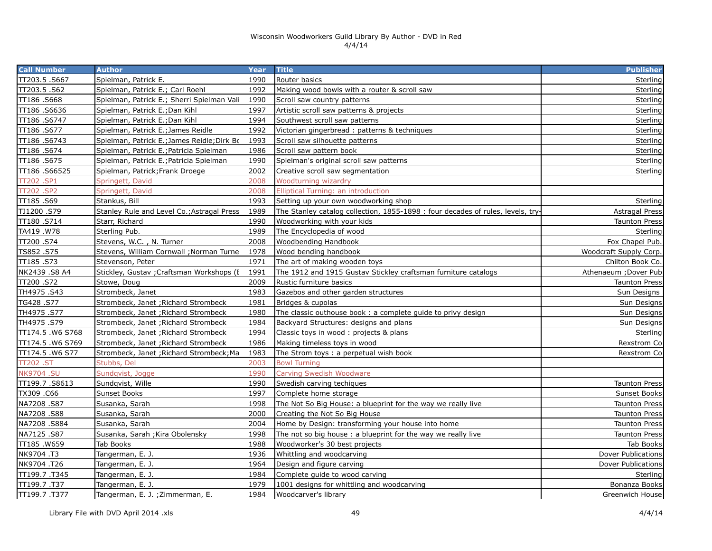| TT203.5.S667<br>Spielman, Patrick E.<br>1990<br>Router basics<br>Sterling<br>Spielman, Patrick E.; Carl Roehl<br>1992<br>Making wood bowls with a router & scroll saw<br>TT186.S668<br>Spielman, Patrick E.; Sherri Spielman Val<br>1990<br>Scroll saw country patterns<br>Spielman, Patrick E.; Dan Kihl<br>1997<br>Artistic scroll saw patterns & projects<br>TT186 .S6747<br>Spielman, Patrick E.; Dan Kihl<br>1994<br>Southwest scroll saw patterns<br>TT186.S677<br>Spielman, Patrick E.; James Reidle<br>1992<br>Victorian gingerbread: patterns & techniques<br>TT186 .S6743<br>Spielman, Patrick E.; James Reidle; Dirk Bd<br>1993<br>Scroll saw silhouette patterns<br>TT186.S674<br>Spielman, Patrick E.; Patricia Spielman<br>1986<br>Scroll saw pattern book<br>TT186.S675<br>1990<br>Spielman, Patrick E.; Patricia Spielman<br>Spielman's original scroll saw patterns<br>TT186.S66525<br>Spielman, Patrick; Frank Droege<br>2002<br>Creative scroll saw segmentation<br>2008<br><b>TT202.SP1</b><br>Springett, David<br>Woodturning wizardry<br>TT202.SP2<br>Springett, David<br>2008<br>Elliptical Turning: an introduction<br>TT185 .S69<br>Stankus, Bill<br>1993<br>Setting up your own woodworking shop<br>Stanley Rule and Level Co.; Astragal Press<br>The Stanley catalog collection, 1855-1898 : four decades of rules, levels, try-<br>1989<br>TT180.S714<br>Starr, Richard<br>1990<br>Woodworking with your kids<br>TA419.W78<br>Sterling Pub.<br>1989<br>The Encyclopedia of wood<br>S74. 002TT<br>Stevens, W.C., N. Turner<br>2008<br>Woodbending Handbook<br>TS852.S75<br>Stevens, William Cornwall ; Norman Turne<br>1978<br>Wood bending handbook<br>TT185.S73<br>1971<br>Stevenson, Peter<br>The art of making wooden toys<br>NK2439 .S8 A4<br>Stickley, Gustav ; Craftsman Workshops (I<br>1991<br>The 1912 and 1915 Gustav Stickley craftsman furniture catalogs<br>TT200 .S72<br>2009<br>Stowe, Doug<br>Rustic furniture basics<br><b>Taunton Press</b><br>TH4975.S43<br>Strombeck, Janet<br>1983<br>Gazebos and other garden structures<br>Sun Designs<br>TG428 .S77<br>Strombeck, Janet ; Richard Strombeck<br>1981<br>Bridges & cupolas<br>TH4975.S77<br>Strombeck, Janet ; Richard Strombeck<br>1980<br>The classic outhouse book: a complete guide to privy design<br>Sun Designs<br>TH4975.S79<br>Strombeck, Janet ; Richard Strombeck<br>1984<br>Backyard Structures: designs and plans<br>TT174.5 .W6 S768<br>Strombeck, Janet ; Richard Strombeck<br>1994<br>Classic toys in wood: projects & plans<br>1986<br>TT174.5.W6 S769<br>Strombeck, Janet ; Richard Strombeck<br>Making timeless toys in wood<br>1983<br>TT174.5 .W6 S77<br>Strombeck, Janet ; Richard Strombeck; Ma<br>The Strom toys: a perpetual wish book<br>2003<br>TT202 .ST<br>Stubbs, Del<br><b>Bowl Turning</b><br>1990<br>NK9704 .SU<br>Sundqvist, Jogge<br><b>Carving Swedish Woodware</b><br>TT199.7.S8613<br>1990<br>Sundqvist, Wille<br>Swedish carving techiques<br>TX309.C66<br>Sunset Books<br>1997<br>Complete home storage<br>NA7208.S87<br>1998<br>Susanka, Sarah<br>The Not So Big House: a blueprint for the way we really live<br>NA7208.S88<br>2000<br>Susanka, Sarah<br>Creating the Not So Big House<br>NA7208.S884<br>2004<br>Home by Design: transforming your house into home<br>Susanka, Sarah<br>NA7125.S87<br>1998<br>Susanka, Sarah ; Kira Obolensky<br>The not so big house : a blueprint for the way we really live<br>TT185.W659<br>Tab Books<br>1988<br>Woodworker's 30 best projects<br>1936<br>NK9704.T3<br>Tangerman, E. J.<br>Whittling and woodcarving<br>NK9704.T26<br>1964<br>Tangerman, E. J.<br>Design and figure carving<br>TT199.7.T345<br>1984<br>Tangerman, E. J.<br>Complete quide to wood carving<br>Tangerman, E. J.<br>1979<br>1001 designs for whittling and woodcarving<br>Tangerman, E. J. ; Zimmerman, E.<br>1984<br>Woodcarver's library | <b>Call Number</b> | <b>Author</b> | Year | <b>Title</b> | <b>Publisher</b>       |
|---------------------------------------------------------------------------------------------------------------------------------------------------------------------------------------------------------------------------------------------------------------------------------------------------------------------------------------------------------------------------------------------------------------------------------------------------------------------------------------------------------------------------------------------------------------------------------------------------------------------------------------------------------------------------------------------------------------------------------------------------------------------------------------------------------------------------------------------------------------------------------------------------------------------------------------------------------------------------------------------------------------------------------------------------------------------------------------------------------------------------------------------------------------------------------------------------------------------------------------------------------------------------------------------------------------------------------------------------------------------------------------------------------------------------------------------------------------------------------------------------------------------------------------------------------------------------------------------------------------------------------------------------------------------------------------------------------------------------------------------------------------------------------------------------------------------------------------------------------------------------------------------------------------------------------------------------------------------------------------------------------------------------------------------------------------------------------------------------------------------------------------------------------------------------------------------------------------------------------------------------------------------------------------------------------------------------------------------------------------------------------------------------------------------------------------------------------------------------------------------------------------------------------------------------------------------------------------------------------------------------------------------------------------------------------------------------------------------------------------------------------------------------------------------------------------------------------------------------------------------------------------------------------------------------------------------------------------------------------------------------------------------------------------------------------------------------------------------------------------------------------------------------------------------------------------------------------------------------------------------------------------------------------------------------------------------------------------------------------------------------------------------------------------------------------------------------------------------------------------------------------------------------------------------------------------------------------------------------------------------------------------------------------------------------------------------------------------------------------------------------------------------------------------------------------------------------------------------------------------------------------------------------------|--------------------|---------------|------|--------------|------------------------|
|                                                                                                                                                                                                                                                                                                                                                                                                                                                                                                                                                                                                                                                                                                                                                                                                                                                                                                                                                                                                                                                                                                                                                                                                                                                                                                                                                                                                                                                                                                                                                                                                                                                                                                                                                                                                                                                                                                                                                                                                                                                                                                                                                                                                                                                                                                                                                                                                                                                                                                                                                                                                                                                                                                                                                                                                                                                                                                                                                                                                                                                                                                                                                                                                                                                                                                                                                                                                                                                                                                                                                                                                                                                                                                                                                                                                                                                                                                         |                    |               |      |              |                        |
|                                                                                                                                                                                                                                                                                                                                                                                                                                                                                                                                                                                                                                                                                                                                                                                                                                                                                                                                                                                                                                                                                                                                                                                                                                                                                                                                                                                                                                                                                                                                                                                                                                                                                                                                                                                                                                                                                                                                                                                                                                                                                                                                                                                                                                                                                                                                                                                                                                                                                                                                                                                                                                                                                                                                                                                                                                                                                                                                                                                                                                                                                                                                                                                                                                                                                                                                                                                                                                                                                                                                                                                                                                                                                                                                                                                                                                                                                                         | TT203.5.S62        |               |      |              | Sterling               |
|                                                                                                                                                                                                                                                                                                                                                                                                                                                                                                                                                                                                                                                                                                                                                                                                                                                                                                                                                                                                                                                                                                                                                                                                                                                                                                                                                                                                                                                                                                                                                                                                                                                                                                                                                                                                                                                                                                                                                                                                                                                                                                                                                                                                                                                                                                                                                                                                                                                                                                                                                                                                                                                                                                                                                                                                                                                                                                                                                                                                                                                                                                                                                                                                                                                                                                                                                                                                                                                                                                                                                                                                                                                                                                                                                                                                                                                                                                         |                    |               |      |              | Sterling               |
|                                                                                                                                                                                                                                                                                                                                                                                                                                                                                                                                                                                                                                                                                                                                                                                                                                                                                                                                                                                                                                                                                                                                                                                                                                                                                                                                                                                                                                                                                                                                                                                                                                                                                                                                                                                                                                                                                                                                                                                                                                                                                                                                                                                                                                                                                                                                                                                                                                                                                                                                                                                                                                                                                                                                                                                                                                                                                                                                                                                                                                                                                                                                                                                                                                                                                                                                                                                                                                                                                                                                                                                                                                                                                                                                                                                                                                                                                                         | TT186.S6636        |               |      |              | Sterling               |
|                                                                                                                                                                                                                                                                                                                                                                                                                                                                                                                                                                                                                                                                                                                                                                                                                                                                                                                                                                                                                                                                                                                                                                                                                                                                                                                                                                                                                                                                                                                                                                                                                                                                                                                                                                                                                                                                                                                                                                                                                                                                                                                                                                                                                                                                                                                                                                                                                                                                                                                                                                                                                                                                                                                                                                                                                                                                                                                                                                                                                                                                                                                                                                                                                                                                                                                                                                                                                                                                                                                                                                                                                                                                                                                                                                                                                                                                                                         |                    |               |      |              | Sterling               |
|                                                                                                                                                                                                                                                                                                                                                                                                                                                                                                                                                                                                                                                                                                                                                                                                                                                                                                                                                                                                                                                                                                                                                                                                                                                                                                                                                                                                                                                                                                                                                                                                                                                                                                                                                                                                                                                                                                                                                                                                                                                                                                                                                                                                                                                                                                                                                                                                                                                                                                                                                                                                                                                                                                                                                                                                                                                                                                                                                                                                                                                                                                                                                                                                                                                                                                                                                                                                                                                                                                                                                                                                                                                                                                                                                                                                                                                                                                         |                    |               |      |              | Sterling               |
|                                                                                                                                                                                                                                                                                                                                                                                                                                                                                                                                                                                                                                                                                                                                                                                                                                                                                                                                                                                                                                                                                                                                                                                                                                                                                                                                                                                                                                                                                                                                                                                                                                                                                                                                                                                                                                                                                                                                                                                                                                                                                                                                                                                                                                                                                                                                                                                                                                                                                                                                                                                                                                                                                                                                                                                                                                                                                                                                                                                                                                                                                                                                                                                                                                                                                                                                                                                                                                                                                                                                                                                                                                                                                                                                                                                                                                                                                                         |                    |               |      |              | Sterling               |
|                                                                                                                                                                                                                                                                                                                                                                                                                                                                                                                                                                                                                                                                                                                                                                                                                                                                                                                                                                                                                                                                                                                                                                                                                                                                                                                                                                                                                                                                                                                                                                                                                                                                                                                                                                                                                                                                                                                                                                                                                                                                                                                                                                                                                                                                                                                                                                                                                                                                                                                                                                                                                                                                                                                                                                                                                                                                                                                                                                                                                                                                                                                                                                                                                                                                                                                                                                                                                                                                                                                                                                                                                                                                                                                                                                                                                                                                                                         |                    |               |      |              | Sterling               |
|                                                                                                                                                                                                                                                                                                                                                                                                                                                                                                                                                                                                                                                                                                                                                                                                                                                                                                                                                                                                                                                                                                                                                                                                                                                                                                                                                                                                                                                                                                                                                                                                                                                                                                                                                                                                                                                                                                                                                                                                                                                                                                                                                                                                                                                                                                                                                                                                                                                                                                                                                                                                                                                                                                                                                                                                                                                                                                                                                                                                                                                                                                                                                                                                                                                                                                                                                                                                                                                                                                                                                                                                                                                                                                                                                                                                                                                                                                         |                    |               |      |              | Sterling               |
|                                                                                                                                                                                                                                                                                                                                                                                                                                                                                                                                                                                                                                                                                                                                                                                                                                                                                                                                                                                                                                                                                                                                                                                                                                                                                                                                                                                                                                                                                                                                                                                                                                                                                                                                                                                                                                                                                                                                                                                                                                                                                                                                                                                                                                                                                                                                                                                                                                                                                                                                                                                                                                                                                                                                                                                                                                                                                                                                                                                                                                                                                                                                                                                                                                                                                                                                                                                                                                                                                                                                                                                                                                                                                                                                                                                                                                                                                                         |                    |               |      |              | Sterling               |
|                                                                                                                                                                                                                                                                                                                                                                                                                                                                                                                                                                                                                                                                                                                                                                                                                                                                                                                                                                                                                                                                                                                                                                                                                                                                                                                                                                                                                                                                                                                                                                                                                                                                                                                                                                                                                                                                                                                                                                                                                                                                                                                                                                                                                                                                                                                                                                                                                                                                                                                                                                                                                                                                                                                                                                                                                                                                                                                                                                                                                                                                                                                                                                                                                                                                                                                                                                                                                                                                                                                                                                                                                                                                                                                                                                                                                                                                                                         |                    |               |      |              |                        |
|                                                                                                                                                                                                                                                                                                                                                                                                                                                                                                                                                                                                                                                                                                                                                                                                                                                                                                                                                                                                                                                                                                                                                                                                                                                                                                                                                                                                                                                                                                                                                                                                                                                                                                                                                                                                                                                                                                                                                                                                                                                                                                                                                                                                                                                                                                                                                                                                                                                                                                                                                                                                                                                                                                                                                                                                                                                                                                                                                                                                                                                                                                                                                                                                                                                                                                                                                                                                                                                                                                                                                                                                                                                                                                                                                                                                                                                                                                         |                    |               |      |              |                        |
|                                                                                                                                                                                                                                                                                                                                                                                                                                                                                                                                                                                                                                                                                                                                                                                                                                                                                                                                                                                                                                                                                                                                                                                                                                                                                                                                                                                                                                                                                                                                                                                                                                                                                                                                                                                                                                                                                                                                                                                                                                                                                                                                                                                                                                                                                                                                                                                                                                                                                                                                                                                                                                                                                                                                                                                                                                                                                                                                                                                                                                                                                                                                                                                                                                                                                                                                                                                                                                                                                                                                                                                                                                                                                                                                                                                                                                                                                                         |                    |               |      |              | Sterling               |
|                                                                                                                                                                                                                                                                                                                                                                                                                                                                                                                                                                                                                                                                                                                                                                                                                                                                                                                                                                                                                                                                                                                                                                                                                                                                                                                                                                                                                                                                                                                                                                                                                                                                                                                                                                                                                                                                                                                                                                                                                                                                                                                                                                                                                                                                                                                                                                                                                                                                                                                                                                                                                                                                                                                                                                                                                                                                                                                                                                                                                                                                                                                                                                                                                                                                                                                                                                                                                                                                                                                                                                                                                                                                                                                                                                                                                                                                                                         | TJ1200.S79         |               |      |              | <b>Astragal Press</b>  |
|                                                                                                                                                                                                                                                                                                                                                                                                                                                                                                                                                                                                                                                                                                                                                                                                                                                                                                                                                                                                                                                                                                                                                                                                                                                                                                                                                                                                                                                                                                                                                                                                                                                                                                                                                                                                                                                                                                                                                                                                                                                                                                                                                                                                                                                                                                                                                                                                                                                                                                                                                                                                                                                                                                                                                                                                                                                                                                                                                                                                                                                                                                                                                                                                                                                                                                                                                                                                                                                                                                                                                                                                                                                                                                                                                                                                                                                                                                         |                    |               |      |              | <b>Taunton Press</b>   |
|                                                                                                                                                                                                                                                                                                                                                                                                                                                                                                                                                                                                                                                                                                                                                                                                                                                                                                                                                                                                                                                                                                                                                                                                                                                                                                                                                                                                                                                                                                                                                                                                                                                                                                                                                                                                                                                                                                                                                                                                                                                                                                                                                                                                                                                                                                                                                                                                                                                                                                                                                                                                                                                                                                                                                                                                                                                                                                                                                                                                                                                                                                                                                                                                                                                                                                                                                                                                                                                                                                                                                                                                                                                                                                                                                                                                                                                                                                         |                    |               |      |              | Sterling               |
|                                                                                                                                                                                                                                                                                                                                                                                                                                                                                                                                                                                                                                                                                                                                                                                                                                                                                                                                                                                                                                                                                                                                                                                                                                                                                                                                                                                                                                                                                                                                                                                                                                                                                                                                                                                                                                                                                                                                                                                                                                                                                                                                                                                                                                                                                                                                                                                                                                                                                                                                                                                                                                                                                                                                                                                                                                                                                                                                                                                                                                                                                                                                                                                                                                                                                                                                                                                                                                                                                                                                                                                                                                                                                                                                                                                                                                                                                                         |                    |               |      |              | Fox Chapel Pub.        |
|                                                                                                                                                                                                                                                                                                                                                                                                                                                                                                                                                                                                                                                                                                                                                                                                                                                                                                                                                                                                                                                                                                                                                                                                                                                                                                                                                                                                                                                                                                                                                                                                                                                                                                                                                                                                                                                                                                                                                                                                                                                                                                                                                                                                                                                                                                                                                                                                                                                                                                                                                                                                                                                                                                                                                                                                                                                                                                                                                                                                                                                                                                                                                                                                                                                                                                                                                                                                                                                                                                                                                                                                                                                                                                                                                                                                                                                                                                         |                    |               |      |              | Woodcraft Supply Corp. |
|                                                                                                                                                                                                                                                                                                                                                                                                                                                                                                                                                                                                                                                                                                                                                                                                                                                                                                                                                                                                                                                                                                                                                                                                                                                                                                                                                                                                                                                                                                                                                                                                                                                                                                                                                                                                                                                                                                                                                                                                                                                                                                                                                                                                                                                                                                                                                                                                                                                                                                                                                                                                                                                                                                                                                                                                                                                                                                                                                                                                                                                                                                                                                                                                                                                                                                                                                                                                                                                                                                                                                                                                                                                                                                                                                                                                                                                                                                         |                    |               |      |              | Chilton Book Co.       |
|                                                                                                                                                                                                                                                                                                                                                                                                                                                                                                                                                                                                                                                                                                                                                                                                                                                                                                                                                                                                                                                                                                                                                                                                                                                                                                                                                                                                                                                                                                                                                                                                                                                                                                                                                                                                                                                                                                                                                                                                                                                                                                                                                                                                                                                                                                                                                                                                                                                                                                                                                                                                                                                                                                                                                                                                                                                                                                                                                                                                                                                                                                                                                                                                                                                                                                                                                                                                                                                                                                                                                                                                                                                                                                                                                                                                                                                                                                         |                    |               |      |              | Athenaeum ; Dover Pub  |
|                                                                                                                                                                                                                                                                                                                                                                                                                                                                                                                                                                                                                                                                                                                                                                                                                                                                                                                                                                                                                                                                                                                                                                                                                                                                                                                                                                                                                                                                                                                                                                                                                                                                                                                                                                                                                                                                                                                                                                                                                                                                                                                                                                                                                                                                                                                                                                                                                                                                                                                                                                                                                                                                                                                                                                                                                                                                                                                                                                                                                                                                                                                                                                                                                                                                                                                                                                                                                                                                                                                                                                                                                                                                                                                                                                                                                                                                                                         |                    |               |      |              |                        |
|                                                                                                                                                                                                                                                                                                                                                                                                                                                                                                                                                                                                                                                                                                                                                                                                                                                                                                                                                                                                                                                                                                                                                                                                                                                                                                                                                                                                                                                                                                                                                                                                                                                                                                                                                                                                                                                                                                                                                                                                                                                                                                                                                                                                                                                                                                                                                                                                                                                                                                                                                                                                                                                                                                                                                                                                                                                                                                                                                                                                                                                                                                                                                                                                                                                                                                                                                                                                                                                                                                                                                                                                                                                                                                                                                                                                                                                                                                         |                    |               |      |              |                        |
|                                                                                                                                                                                                                                                                                                                                                                                                                                                                                                                                                                                                                                                                                                                                                                                                                                                                                                                                                                                                                                                                                                                                                                                                                                                                                                                                                                                                                                                                                                                                                                                                                                                                                                                                                                                                                                                                                                                                                                                                                                                                                                                                                                                                                                                                                                                                                                                                                                                                                                                                                                                                                                                                                                                                                                                                                                                                                                                                                                                                                                                                                                                                                                                                                                                                                                                                                                                                                                                                                                                                                                                                                                                                                                                                                                                                                                                                                                         |                    |               |      |              | Sun Designs            |
|                                                                                                                                                                                                                                                                                                                                                                                                                                                                                                                                                                                                                                                                                                                                                                                                                                                                                                                                                                                                                                                                                                                                                                                                                                                                                                                                                                                                                                                                                                                                                                                                                                                                                                                                                                                                                                                                                                                                                                                                                                                                                                                                                                                                                                                                                                                                                                                                                                                                                                                                                                                                                                                                                                                                                                                                                                                                                                                                                                                                                                                                                                                                                                                                                                                                                                                                                                                                                                                                                                                                                                                                                                                                                                                                                                                                                                                                                                         |                    |               |      |              |                        |
|                                                                                                                                                                                                                                                                                                                                                                                                                                                                                                                                                                                                                                                                                                                                                                                                                                                                                                                                                                                                                                                                                                                                                                                                                                                                                                                                                                                                                                                                                                                                                                                                                                                                                                                                                                                                                                                                                                                                                                                                                                                                                                                                                                                                                                                                                                                                                                                                                                                                                                                                                                                                                                                                                                                                                                                                                                                                                                                                                                                                                                                                                                                                                                                                                                                                                                                                                                                                                                                                                                                                                                                                                                                                                                                                                                                                                                                                                                         |                    |               |      |              | Sun Designs            |
|                                                                                                                                                                                                                                                                                                                                                                                                                                                                                                                                                                                                                                                                                                                                                                                                                                                                                                                                                                                                                                                                                                                                                                                                                                                                                                                                                                                                                                                                                                                                                                                                                                                                                                                                                                                                                                                                                                                                                                                                                                                                                                                                                                                                                                                                                                                                                                                                                                                                                                                                                                                                                                                                                                                                                                                                                                                                                                                                                                                                                                                                                                                                                                                                                                                                                                                                                                                                                                                                                                                                                                                                                                                                                                                                                                                                                                                                                                         |                    |               |      |              | Sterling               |
|                                                                                                                                                                                                                                                                                                                                                                                                                                                                                                                                                                                                                                                                                                                                                                                                                                                                                                                                                                                                                                                                                                                                                                                                                                                                                                                                                                                                                                                                                                                                                                                                                                                                                                                                                                                                                                                                                                                                                                                                                                                                                                                                                                                                                                                                                                                                                                                                                                                                                                                                                                                                                                                                                                                                                                                                                                                                                                                                                                                                                                                                                                                                                                                                                                                                                                                                                                                                                                                                                                                                                                                                                                                                                                                                                                                                                                                                                                         |                    |               |      |              | Rexstrom Co            |
|                                                                                                                                                                                                                                                                                                                                                                                                                                                                                                                                                                                                                                                                                                                                                                                                                                                                                                                                                                                                                                                                                                                                                                                                                                                                                                                                                                                                                                                                                                                                                                                                                                                                                                                                                                                                                                                                                                                                                                                                                                                                                                                                                                                                                                                                                                                                                                                                                                                                                                                                                                                                                                                                                                                                                                                                                                                                                                                                                                                                                                                                                                                                                                                                                                                                                                                                                                                                                                                                                                                                                                                                                                                                                                                                                                                                                                                                                                         |                    |               |      |              | Rexstrom Co            |
|                                                                                                                                                                                                                                                                                                                                                                                                                                                                                                                                                                                                                                                                                                                                                                                                                                                                                                                                                                                                                                                                                                                                                                                                                                                                                                                                                                                                                                                                                                                                                                                                                                                                                                                                                                                                                                                                                                                                                                                                                                                                                                                                                                                                                                                                                                                                                                                                                                                                                                                                                                                                                                                                                                                                                                                                                                                                                                                                                                                                                                                                                                                                                                                                                                                                                                                                                                                                                                                                                                                                                                                                                                                                                                                                                                                                                                                                                                         |                    |               |      |              |                        |
|                                                                                                                                                                                                                                                                                                                                                                                                                                                                                                                                                                                                                                                                                                                                                                                                                                                                                                                                                                                                                                                                                                                                                                                                                                                                                                                                                                                                                                                                                                                                                                                                                                                                                                                                                                                                                                                                                                                                                                                                                                                                                                                                                                                                                                                                                                                                                                                                                                                                                                                                                                                                                                                                                                                                                                                                                                                                                                                                                                                                                                                                                                                                                                                                                                                                                                                                                                                                                                                                                                                                                                                                                                                                                                                                                                                                                                                                                                         |                    |               |      |              |                        |
|                                                                                                                                                                                                                                                                                                                                                                                                                                                                                                                                                                                                                                                                                                                                                                                                                                                                                                                                                                                                                                                                                                                                                                                                                                                                                                                                                                                                                                                                                                                                                                                                                                                                                                                                                                                                                                                                                                                                                                                                                                                                                                                                                                                                                                                                                                                                                                                                                                                                                                                                                                                                                                                                                                                                                                                                                                                                                                                                                                                                                                                                                                                                                                                                                                                                                                                                                                                                                                                                                                                                                                                                                                                                                                                                                                                                                                                                                                         |                    |               |      |              | <b>Taunton Press</b>   |
|                                                                                                                                                                                                                                                                                                                                                                                                                                                                                                                                                                                                                                                                                                                                                                                                                                                                                                                                                                                                                                                                                                                                                                                                                                                                                                                                                                                                                                                                                                                                                                                                                                                                                                                                                                                                                                                                                                                                                                                                                                                                                                                                                                                                                                                                                                                                                                                                                                                                                                                                                                                                                                                                                                                                                                                                                                                                                                                                                                                                                                                                                                                                                                                                                                                                                                                                                                                                                                                                                                                                                                                                                                                                                                                                                                                                                                                                                                         |                    |               |      |              | Sunset Books           |
|                                                                                                                                                                                                                                                                                                                                                                                                                                                                                                                                                                                                                                                                                                                                                                                                                                                                                                                                                                                                                                                                                                                                                                                                                                                                                                                                                                                                                                                                                                                                                                                                                                                                                                                                                                                                                                                                                                                                                                                                                                                                                                                                                                                                                                                                                                                                                                                                                                                                                                                                                                                                                                                                                                                                                                                                                                                                                                                                                                                                                                                                                                                                                                                                                                                                                                                                                                                                                                                                                                                                                                                                                                                                                                                                                                                                                                                                                                         |                    |               |      |              | <b>Taunton Press</b>   |
|                                                                                                                                                                                                                                                                                                                                                                                                                                                                                                                                                                                                                                                                                                                                                                                                                                                                                                                                                                                                                                                                                                                                                                                                                                                                                                                                                                                                                                                                                                                                                                                                                                                                                                                                                                                                                                                                                                                                                                                                                                                                                                                                                                                                                                                                                                                                                                                                                                                                                                                                                                                                                                                                                                                                                                                                                                                                                                                                                                                                                                                                                                                                                                                                                                                                                                                                                                                                                                                                                                                                                                                                                                                                                                                                                                                                                                                                                                         |                    |               |      |              | <b>Taunton Press</b>   |
|                                                                                                                                                                                                                                                                                                                                                                                                                                                                                                                                                                                                                                                                                                                                                                                                                                                                                                                                                                                                                                                                                                                                                                                                                                                                                                                                                                                                                                                                                                                                                                                                                                                                                                                                                                                                                                                                                                                                                                                                                                                                                                                                                                                                                                                                                                                                                                                                                                                                                                                                                                                                                                                                                                                                                                                                                                                                                                                                                                                                                                                                                                                                                                                                                                                                                                                                                                                                                                                                                                                                                                                                                                                                                                                                                                                                                                                                                                         |                    |               |      |              | <b>Taunton Press</b>   |
|                                                                                                                                                                                                                                                                                                                                                                                                                                                                                                                                                                                                                                                                                                                                                                                                                                                                                                                                                                                                                                                                                                                                                                                                                                                                                                                                                                                                                                                                                                                                                                                                                                                                                                                                                                                                                                                                                                                                                                                                                                                                                                                                                                                                                                                                                                                                                                                                                                                                                                                                                                                                                                                                                                                                                                                                                                                                                                                                                                                                                                                                                                                                                                                                                                                                                                                                                                                                                                                                                                                                                                                                                                                                                                                                                                                                                                                                                                         |                    |               |      |              | <b>Taunton Press</b>   |
|                                                                                                                                                                                                                                                                                                                                                                                                                                                                                                                                                                                                                                                                                                                                                                                                                                                                                                                                                                                                                                                                                                                                                                                                                                                                                                                                                                                                                                                                                                                                                                                                                                                                                                                                                                                                                                                                                                                                                                                                                                                                                                                                                                                                                                                                                                                                                                                                                                                                                                                                                                                                                                                                                                                                                                                                                                                                                                                                                                                                                                                                                                                                                                                                                                                                                                                                                                                                                                                                                                                                                                                                                                                                                                                                                                                                                                                                                                         |                    |               |      |              | <b>Tab Books</b>       |
|                                                                                                                                                                                                                                                                                                                                                                                                                                                                                                                                                                                                                                                                                                                                                                                                                                                                                                                                                                                                                                                                                                                                                                                                                                                                                                                                                                                                                                                                                                                                                                                                                                                                                                                                                                                                                                                                                                                                                                                                                                                                                                                                                                                                                                                                                                                                                                                                                                                                                                                                                                                                                                                                                                                                                                                                                                                                                                                                                                                                                                                                                                                                                                                                                                                                                                                                                                                                                                                                                                                                                                                                                                                                                                                                                                                                                                                                                                         |                    |               |      |              | Dover Publications     |
|                                                                                                                                                                                                                                                                                                                                                                                                                                                                                                                                                                                                                                                                                                                                                                                                                                                                                                                                                                                                                                                                                                                                                                                                                                                                                                                                                                                                                                                                                                                                                                                                                                                                                                                                                                                                                                                                                                                                                                                                                                                                                                                                                                                                                                                                                                                                                                                                                                                                                                                                                                                                                                                                                                                                                                                                                                                                                                                                                                                                                                                                                                                                                                                                                                                                                                                                                                                                                                                                                                                                                                                                                                                                                                                                                                                                                                                                                                         |                    |               |      |              | Dover Publications     |
|                                                                                                                                                                                                                                                                                                                                                                                                                                                                                                                                                                                                                                                                                                                                                                                                                                                                                                                                                                                                                                                                                                                                                                                                                                                                                                                                                                                                                                                                                                                                                                                                                                                                                                                                                                                                                                                                                                                                                                                                                                                                                                                                                                                                                                                                                                                                                                                                                                                                                                                                                                                                                                                                                                                                                                                                                                                                                                                                                                                                                                                                                                                                                                                                                                                                                                                                                                                                                                                                                                                                                                                                                                                                                                                                                                                                                                                                                                         |                    |               |      |              | Sterling               |
|                                                                                                                                                                                                                                                                                                                                                                                                                                                                                                                                                                                                                                                                                                                                                                                                                                                                                                                                                                                                                                                                                                                                                                                                                                                                                                                                                                                                                                                                                                                                                                                                                                                                                                                                                                                                                                                                                                                                                                                                                                                                                                                                                                                                                                                                                                                                                                                                                                                                                                                                                                                                                                                                                                                                                                                                                                                                                                                                                                                                                                                                                                                                                                                                                                                                                                                                                                                                                                                                                                                                                                                                                                                                                                                                                                                                                                                                                                         | TT199.7.T37        |               |      |              | Bonanza Books          |
|                                                                                                                                                                                                                                                                                                                                                                                                                                                                                                                                                                                                                                                                                                                                                                                                                                                                                                                                                                                                                                                                                                                                                                                                                                                                                                                                                                                                                                                                                                                                                                                                                                                                                                                                                                                                                                                                                                                                                                                                                                                                                                                                                                                                                                                                                                                                                                                                                                                                                                                                                                                                                                                                                                                                                                                                                                                                                                                                                                                                                                                                                                                                                                                                                                                                                                                                                                                                                                                                                                                                                                                                                                                                                                                                                                                                                                                                                                         | TT199.7.T377       |               |      |              | Greenwich House        |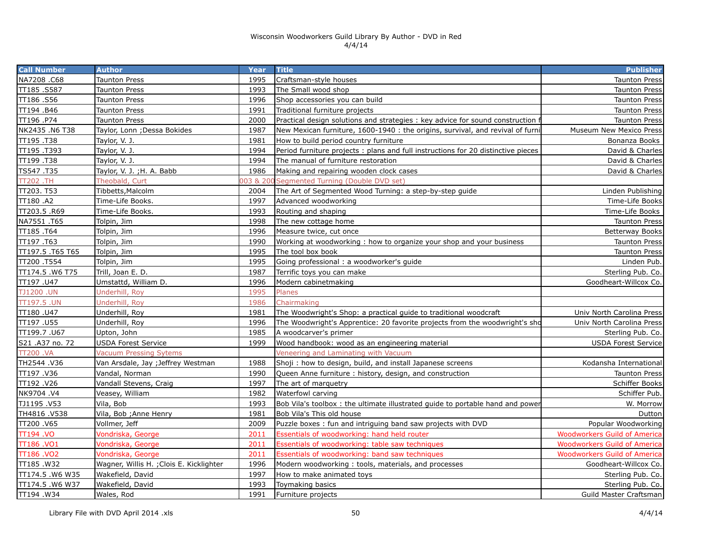| <b>Call Number</b> | <b>Author</b>                            | Year     | <b>Title</b>                                                                     | <b>Publisher</b>                    |
|--------------------|------------------------------------------|----------|----------------------------------------------------------------------------------|-------------------------------------|
| NA7208.C68         | Taunton Press                            | 1995     | Craftsman-style houses                                                           | <b>Taunton Press</b>                |
| TT185.S587         | Taunton Press                            | 1993     | The Small wood shop                                                              | <b>Taunton Press</b>                |
| TT186.S56          | Taunton Press                            | 1996     | Shop accessories you can build                                                   | <b>Taunton Press</b>                |
| TT194.B46          | Taunton Press                            | 1991     | Traditional furniture projects                                                   | <b>Taunton Press</b>                |
| TT196.P74          | Taunton Press                            | 2000     | Practical design solutions and strategies : key advice for sound construction t  | <b>Taunton Press</b>                |
| NK2435 .N6 T38     | Taylor, Lonn ; Dessa Bokides             | 1987     | New Mexican furniture, 1600-1940 : the origins, survival, and revival of furni   | <b>Museum New Mexico Press</b>      |
| TT195.T38          | Taylor, V. J.                            | 1981     | How to build period country furniture                                            | Bonanza Books                       |
| TT195.T393         | Taylor, V. J.                            | 1994     | Period furniture projects: plans and full instructions for 20 distinctive pieces | David & Charles                     |
| TT199.T38          | Taylor, V. J.                            | 1994     | The manual of furniture restoration                                              | David & Charles                     |
| TS547.T35          | Taylor, V. J.; H. A. Babb                | 1986     | Making and repairing wooden clock cases                                          | David & Charles                     |
| <b>TT202.TH</b>    | Theobald, Curt                           | 03 & 200 | Segmented Turning (Double DVD set)                                               |                                     |
| TT203. T53         | Tibbetts, Malcolm                        | 2004     | The Art of Segmented Wood Turning: a step-by-step guide                          | Linden Publishing                   |
| TT180 .A2          | Time-Life Books.                         | 1997     | Advanced woodworking                                                             | Time-Life Books                     |
| TT203.5 .R69       | Time-Life Books.                         | 1993     | Routing and shaping                                                              | Time-Life Books                     |
| NA7551 .T65        | Tolpin, Jim                              | 1998     | The new cottage home                                                             | <b>Taunton Press</b>                |
| TT185.T64          | Tolpin, Jim                              | 1996     | Measure twice, cut once                                                          | <b>Betterway Books</b>              |
| TT197.T63          | Tolpin, Jim                              | 1990     | Working at woodworking: how to organize your shop and your business              | <b>Taunton Press</b>                |
| TT197.5.T65 T65    | Tolpin, Jim                              | 1995     | The tool box book                                                                | <b>Taunton Press</b>                |
| TT200 .T554        | Tolpin, Jim                              | 1995     | Going professional : a woodworker's guide                                        | Linden Pub.                         |
| TT174.5 .W6 T75    | Trill, Joan E. D.                        | 1987     | Terrific toys you can make                                                       | Sterling Pub. Co.                   |
| TT197.U47          | Umstattd, William D.                     | 1996     | Modern cabinetmaking                                                             | Goodheart-Willcox Co.               |
| <b>TJ1200.UN</b>   | Underhill, Roy                           | 1995     | Planes                                                                           |                                     |
| TT197.5 .UN        | Underhill, Roy                           | 1986     | Chairmaking                                                                      |                                     |
| TT180.U47          | Underhill, Roy                           | 1981     | The Woodwright's Shop: a practical guide to traditional woodcraft                | Univ North Carolina Press           |
| TT197.U55          | Underhill, Roy                           | 1996     | The Woodwright's Apprentice: 20 favorite projects from the woodwright's sho      | Univ North Carolina Press           |
| TT199.7.U67        | Upton, John                              | 1985     | A woodcarver's primer                                                            | Sterling Pub. Co.                   |
| S21 .A37 no. 72    | <b>USDA Forest Service</b>               | 1999     | Wood handbook: wood as an engineering material                                   | <b>USDA Forest Service</b>          |
| <b>TT200.VA</b>    | <b>Vacuum Pressing Sytems</b>            |          | Veneering and Laminating with Vacuum                                             |                                     |
| TH2544.V36         | Van Arsdale, Jay ; Jeffrey Westman       | 1988     | Shoji: how to design, build, and install Japanese screens                        | Kodansha International              |
| TT197 .V36         | Vandal, Norman                           | 1990     | Queen Anne furniture: history, design, and construction                          | <b>Taunton Press</b>                |
| TT192.V26          | Vandall Stevens, Craig                   | 1997     | The art of marquetry                                                             | Schiffer Books                      |
| NK9704.V4          | Veasey, William                          | 1982     | Waterfowl carving                                                                | Schiffer Pub.                       |
| TJ1195.V53         | Vila, Bob                                | 1993     | Bob Vila's toolbox: the ultimate illustrated guide to portable hand and power    | W. Morrow                           |
| TH4816.V538        | Vila, Bob ; Anne Henry                   | 1981     | Bob Vila's This old house                                                        | Dutton                              |
| TT200.V65          | Vollmer, Jeff                            | 2009     | Puzzle boxes: fun and intriguing band saw projects with DVD                      | Popular Woodworking                 |
| <b>TT194.VO</b>    | Vondriska, George                        | 2011     | Essentials of woodworking: hand held router                                      | <b>Woodworkers Guild of America</b> |
| TT186 .VO1         | Vondriska, George                        | 2011     | Essentials of woodworking: table saw techniques                                  | <b>Woodworkers Guild of America</b> |
| TT186.VO2          | Vondriska, George                        | 2011     | Essentials of woodworking: band saw techniques                                   | <b>Woodworkers Guild of America</b> |
| TT185.W32          | Wagner, Willis H. ; Clois E. Kicklighter | 1996     | Modern woodworking: tools, materials, and processes                              | Goodheart-Willcox Co.               |
| TT174.5.W6 W35     | Wakefield, David                         | 1997     | How to make animated toys                                                        | Sterling Pub. Co.                   |
| TT174.5 .W6 W37    | Wakefield, David                         | 1993     | Toymaking basics                                                                 | Sterling Pub. Co.                   |
| TT194.W34          | Wales, Rod                               | 1991     | Furniture projects                                                               | Guild Master Craftsman              |